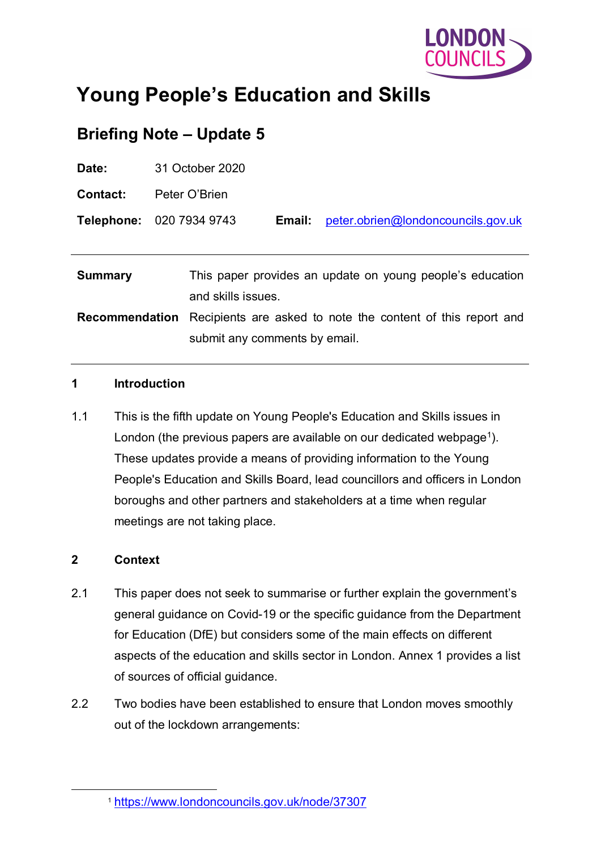

# **Young People's Education and Skills**

# **Briefing Note – Update 5**

| Date:                 | 31 October 2020                                                                 |  |
|-----------------------|---------------------------------------------------------------------------------|--|
| <b>Contact:</b>       | Peter O'Brien                                                                   |  |
|                       | Telephone: 020 7934 9743<br>peter.obrien@londoncouncils.gov.uk<br>Email:        |  |
|                       |                                                                                 |  |
| <b>Summary</b>        | This paper provides an update on young people's education<br>and skills issues. |  |
| <b>Recommendation</b> | Recipients are asked to note the content of this report and                     |  |
|                       | submit any comments by email.                                                   |  |

#### **1 Introduction**

1.1 This is the fifth update on Young People's Education and Skills issues in London (the previous papers are available on our dedicated webpage<sup>1</sup>). These updates provide a means of providing information to the Young People's Education and Skills Board, lead councillors and officers in London boroughs and other partners and stakeholders at a time when regular meetings are not taking place.

#### **2 Context**

- 2.1 This paper does not seek to summarise or further explain the government's general guidance on Covid-19 or the specific guidance from the Department for Education (DfE) but considers some of the main effects on different aspects of the education and skills sector in London. Annex 1 provides a list of sources of official guidance.
- 2.2 Two bodies have been established to ensure that London moves smoothly out of the lockdown arrangements:

<span id="page-0-0"></span> <sup>1</sup> <https://www.londoncouncils.gov.uk/node/37307>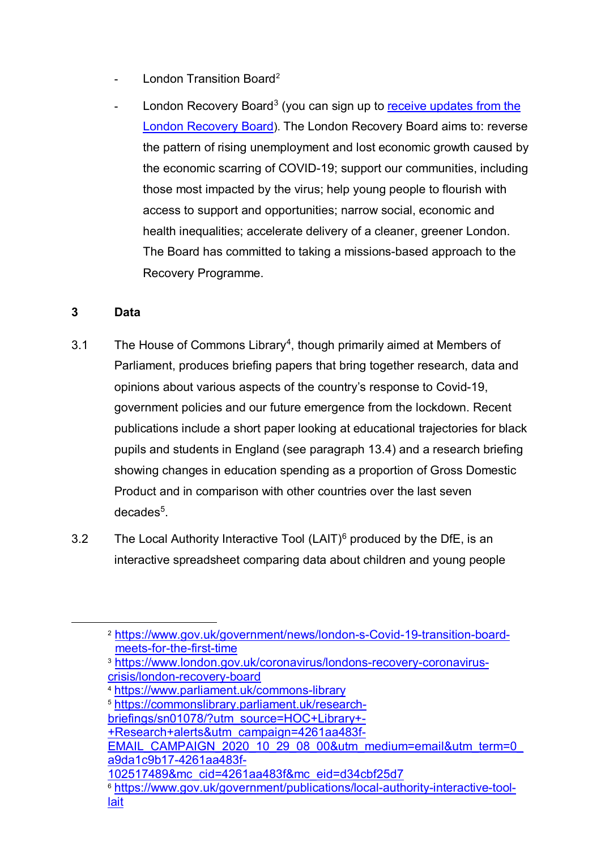- London Transition Board<sup>[2](#page-1-0)</sup>
- London Recovery Board<sup>3</sup> (you can sign up to receive updates from the [London Recovery Board\)](https://www.london.gov.uk/sign-receive-updates-london-recovery-board). The London Recovery Board aims to: reverse the pattern of rising unemployment and lost economic growth caused by the economic scarring of COVID-19; support our communities, including those most impacted by the virus; help young people to flourish with access to support and opportunities; narrow social, economic and health inequalities; accelerate delivery of a cleaner, greener London. The Board has committed to taking a missions-based approach to the Recovery Programme.

#### **3 Data**

- 3.1 The House of Commons Library[4](#page-1-2), though primarily aimed at Members of Parliament, produces briefing papers that bring together research, data and opinions about various aspects of the country's response to Covid-19, government policies and our future emergence from the lockdown. Recent publications include a short paper looking at educational trajectories for black pupils and students in England (see paragraph [13.4\)](#page-25-0) and a research briefing showing changes in education spending as a proportion of Gross Domestic Product and in comparison with other countries over the last seven decades<sup>5</sup>.
- 3.2 The Local Authority Interactive Tool  $(LAIT)^6$  $(LAIT)^6$  produced by the DfE, is an interactive spreadsheet comparing data about children and young people

<span id="page-1-0"></span> <sup>2</sup> [https://www.gov.uk/government/news/london-s-Covid-19-transition-board](https://www.gov.uk/government/news/london-s-covid-19-transition-board-meets-for-the-first-time)[meets-for-the-first-time](https://www.gov.uk/government/news/london-s-covid-19-transition-board-meets-for-the-first-time)

<span id="page-1-1"></span><sup>3</sup> [https://www.london.gov.uk/coronavirus/londons-recovery-coronavirus](https://www.london.gov.uk/coronavirus/londons-recovery-coronavirus-crisis/london-recovery-board)[crisis/london-recovery-board](https://www.london.gov.uk/coronavirus/londons-recovery-coronavirus-crisis/london-recovery-board)

<span id="page-1-2"></span><sup>4</sup> <https://www.parliament.uk/commons-library>

<span id="page-1-3"></span><sup>5</sup> [https://commonslibrary.parliament.uk/research-](https://commonslibrary.parliament.uk/research-briefings/sn01078/?utm_source=HOC+Library+-+Research+alerts&utm_campaign=4261aa483f-EMAIL_CAMPAIGN_2020_10_29_08_00&utm_medium=email&utm_term=0_a9da1c9b17-4261aa483f-102517489&mc_cid=4261aa483f&mc_eid=d34cbf25d7)

[briefings/sn01078/?utm\\_source=HOC+Library+-](https://commonslibrary.parliament.uk/research-briefings/sn01078/?utm_source=HOC+Library+-+Research+alerts&utm_campaign=4261aa483f-EMAIL_CAMPAIGN_2020_10_29_08_00&utm_medium=email&utm_term=0_a9da1c9b17-4261aa483f-102517489&mc_cid=4261aa483f&mc_eid=d34cbf25d7)

[<sup>+</sup>Research+alerts&utm\\_campaign=4261aa483f-](https://commonslibrary.parliament.uk/research-briefings/sn01078/?utm_source=HOC+Library+-+Research+alerts&utm_campaign=4261aa483f-EMAIL_CAMPAIGN_2020_10_29_08_00&utm_medium=email&utm_term=0_a9da1c9b17-4261aa483f-102517489&mc_cid=4261aa483f&mc_eid=d34cbf25d7)

[EMAIL\\_CAMPAIGN\\_2020\\_10\\_29\\_08\\_00&utm\\_medium=email&utm\\_term=0\\_](https://commonslibrary.parliament.uk/research-briefings/sn01078/?utm_source=HOC+Library+-+Research+alerts&utm_campaign=4261aa483f-EMAIL_CAMPAIGN_2020_10_29_08_00&utm_medium=email&utm_term=0_a9da1c9b17-4261aa483f-102517489&mc_cid=4261aa483f&mc_eid=d34cbf25d7) [a9da1c9b17-4261aa483f-](https://commonslibrary.parliament.uk/research-briefings/sn01078/?utm_source=HOC+Library+-+Research+alerts&utm_campaign=4261aa483f-EMAIL_CAMPAIGN_2020_10_29_08_00&utm_medium=email&utm_term=0_a9da1c9b17-4261aa483f-102517489&mc_cid=4261aa483f&mc_eid=d34cbf25d7)

[<sup>102517489&</sup>amp;mc\\_cid=4261aa483f&mc\\_eid=d34cbf25d7](https://commonslibrary.parliament.uk/research-briefings/sn01078/?utm_source=HOC+Library+-+Research+alerts&utm_campaign=4261aa483f-EMAIL_CAMPAIGN_2020_10_29_08_00&utm_medium=email&utm_term=0_a9da1c9b17-4261aa483f-102517489&mc_cid=4261aa483f&mc_eid=d34cbf25d7)

<span id="page-1-4"></span><sup>6</sup> [https://www.gov.uk/government/publications/local-authority-interactive-tool](https://www.gov.uk/government/publications/local-authority-interactive-tool-lait)[lait](https://www.gov.uk/government/publications/local-authority-interactive-tool-lait)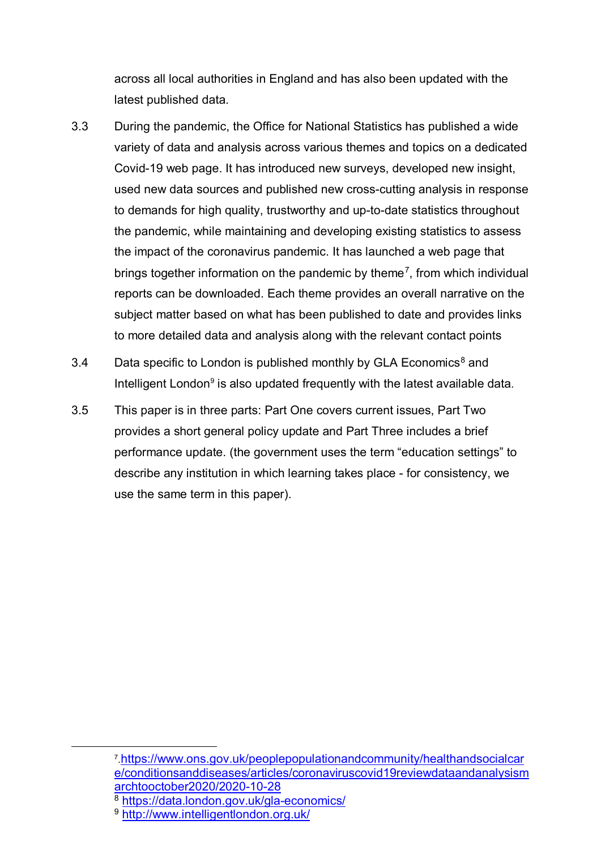across all local authorities in England and has also been updated with the latest published data.

- 3.3 During the pandemic, the Office for National Statistics has published a wide variety of data and analysis across various themes and topics on a dedicated Covid-19 web page. It has introduced new surveys, developed new insight, used new data sources and published new cross-cutting analysis in response to demands for high quality, trustworthy and up-to-date statistics throughout the pandemic, while maintaining and developing existing statistics to assess the impact of the coronavirus pandemic. It has launched a web page that brings together information on the pandemic by theme<sup>7</sup>, from which individual reports can be downloaded. Each theme provides an overall narrative on the subject matter based on what has been published to date and provides links to more detailed data and analysis along with the relevant contact points
- 3.4 Data specific to London is published monthly by GLA Economics<sup>[8](#page-2-1)</sup> and Intelligent London $9$  is also updated frequently with the latest available data.
- 3.5 This paper is in three parts: Part One covers current issues, Part Two provides a short general policy update and Part Three includes a brief performance update. (the government uses the term "education settings" to describe any institution in which learning takes place - for consistency, we use the same term in this paper).

<span id="page-2-0"></span> <sup>7</sup>[.https://www.ons.gov.uk/peoplepopulationandcommunity/healthandsocialcar](https://www.ons.gov.uk/peoplepopulationandcommunity/healthandsocialcare/conditionsanddiseases/articles/coronaviruscovid19reviewdataandanalysismarchtooctober2020/2020-10-28) [e/conditionsanddiseases/articles/coronaviruscovid19reviewdataandanalysism](https://www.ons.gov.uk/peoplepopulationandcommunity/healthandsocialcare/conditionsanddiseases/articles/coronaviruscovid19reviewdataandanalysismarchtooctober2020/2020-10-28) [archtooctober2020/2020-10-28](https://www.ons.gov.uk/peoplepopulationandcommunity/healthandsocialcare/conditionsanddiseases/articles/coronaviruscovid19reviewdataandanalysismarchtooctober2020/2020-10-28)

<span id="page-2-1"></span><sup>8</sup> <https://data.london.gov.uk/gla-economics/>

<span id="page-2-2"></span><sup>9</sup> <http://www.intelligentlondon.org.uk/>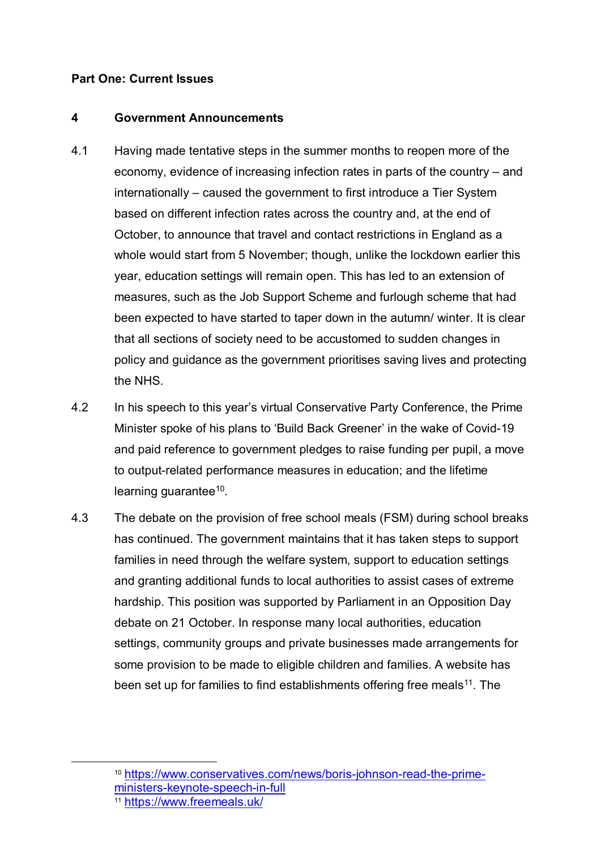#### **Part One: Current Issues**

#### **4 Government Announcements**

- 4.1 Having made tentative steps in the summer months to reopen more of the economy, evidence of increasing infection rates in parts of the country – and internationally – caused the government to first introduce a Tier System based on different infection rates across the country and, at the end of October, to announce that travel and contact restrictions in England as a whole would start from 5 November; though, unlike the lockdown earlier this year, education settings will remain open. This has led to an extension of measures, such as the Job Support Scheme and furlough scheme that had been expected to have started to taper down in the autumn/ winter. It is clear that all sections of society need to be accustomed to sudden changes in policy and guidance as the government prioritises saving lives and protecting the NHS.
- 4.2 In his speech to this year's virtual Conservative Party Conference, the Prime Minister spoke of his plans to 'Build Back Greener' in the wake of Covid-19 and paid reference to government pledges to raise funding per pupil, a move to output-related performance measures in education; and the lifetime learning quarantee $10$ .
- 4.3 The debate on the provision of free school meals (FSM) during school breaks has continued. The government maintains that it has taken steps to support families in need through the welfare system, support to education settings and granting additional funds to local authorities to assist cases of extreme hardship. This position was supported by Parliament in an Opposition Day debate on 21 October. In response many local authorities, education settings, community groups and private businesses made arrangements for some provision to be made to eligible children and families. A website has been set up for families to find establishments offering free meals<sup>[11](#page-3-1)</sup>. The

<span id="page-3-0"></span> <sup>10</sup> [https://www.conservatives.com/news/boris-johnson-read-the-prime](https://www.conservatives.com/news/boris-johnson-read-the-prime-ministers-keynote-speech-in-full)[ministers-keynote-speech-in-full](https://www.conservatives.com/news/boris-johnson-read-the-prime-ministers-keynote-speech-in-full)

<span id="page-3-1"></span><sup>11</sup> <https://www.freemeals.uk/>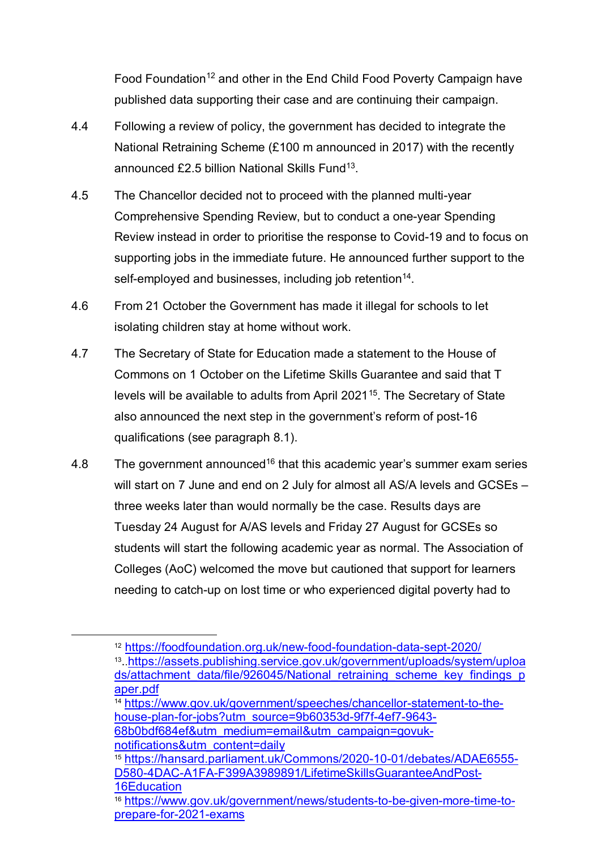Food Foundation<sup>12</sup> and other in the End Child Food Poverty Campaign have published data supporting their case and are continuing their campaign.

- 4.4 Following a review of policy, the government has decided to integrate the National Retraining Scheme (£100 m announced in 2017) with the recently announced £2.5 billion National Skills Fund[13.](#page-4-1)
- 4.5 The Chancellor decided not to proceed with the planned multi-year Comprehensive Spending Review, but to conduct a one-year Spending Review instead in order to prioritise the response to Covid-19 and to focus on supporting jobs in the immediate future. He announced further support to the self-employed and businesses, including job retention<sup>[14](#page-4-2)</sup>.
- 4.6 From 21 October the Government has made it illegal for schools to let isolating children stay at home without work.
- 4.7 The Secretary of State for Education made a statement to the House of Commons on 1 October on the Lifetime Skills Guarantee and said that T levels will be available to adults from April 2021<sup>15</sup>. The Secretary of State also announced the next step in the government's reform of post-16 qualifications (see paragraph [8.1\)](#page-11-0).
- 4.8 The government announced<sup>[16](#page-4-4)</sup> that this academic year's summer exam series will start on 7 June and end on 2 July for almost all AS/A levels and GCSEs three weeks later than would normally be the case. Results days are Tuesday 24 August for A/AS levels and Friday 27 August for GCSEs so students will start the following academic year as normal. The Association of Colleges (AoC) welcomed the move but cautioned that support for learners needing to catch-up on lost time or who experienced digital poverty had to

[68b0bdf684ef&utm\\_medium=email&utm\\_campaign=govuk-](https://www.gov.uk/government/speeches/chancellor-statement-to-the-house-plan-for-jobs?utm_source=9b60353d-9f7f-4ef7-9643-68b0bdf684ef&utm_medium=email&utm_campaign=govuk-notifications&utm_content=daily)

<span id="page-4-3"></span>[notifications&utm\\_content=daily](https://www.gov.uk/government/speeches/chancellor-statement-to-the-house-plan-for-jobs?utm_source=9b60353d-9f7f-4ef7-9643-68b0bdf684ef&utm_medium=email&utm_campaign=govuk-notifications&utm_content=daily) <sup>15</sup> [https://hansard.parliament.uk/Commons/2020-10-01/debates/ADAE6555-](https://hansard.parliament.uk/Commons/2020-10-01/debates/ADAE6555-D580-4DAC-A1FA-F399A3989891/LifetimeSkillsGuaranteeAndPost-16Education) [D580-4DAC-A1FA-F399A3989891/LifetimeSkillsGuaranteeAndPost-](https://hansard.parliament.uk/Commons/2020-10-01/debates/ADAE6555-D580-4DAC-A1FA-F399A3989891/LifetimeSkillsGuaranteeAndPost-16Education)[16Education](https://hansard.parliament.uk/Commons/2020-10-01/debates/ADAE6555-D580-4DAC-A1FA-F399A3989891/LifetimeSkillsGuaranteeAndPost-16Education)

<span id="page-4-0"></span> <sup>12</sup> <https://foodfoundation.org.uk/new-food-foundation-data-sept-2020/>

<span id="page-4-1"></span><sup>13.</sup>[.https://assets.publishing.service.gov.uk/government/uploads/system/uploa](https://assets.publishing.service.gov.uk/government/uploads/system/uploads/attachment_data/file/926045/National_retraining_scheme_key_findings_paper.pdf) [ds/attachment\\_data/file/926045/National\\_retraining\\_scheme\\_key\\_findings\\_p](https://assets.publishing.service.gov.uk/government/uploads/system/uploads/attachment_data/file/926045/National_retraining_scheme_key_findings_paper.pdf) aper.pdf<br><sup>14</sup> [https://www.gov.uk/government/speeches/chancellor-statement-to-the-](https://www.gov.uk/government/speeches/chancellor-statement-to-the-house-plan-for-jobs?utm_source=9b60353d-9f7f-4ef7-9643-68b0bdf684ef&utm_medium=email&utm_campaign=govuk-notifications&utm_content=daily)

<span id="page-4-2"></span>[house-plan-for-jobs?utm\\_source=9b60353d-9f7f-4ef7-9643-](https://www.gov.uk/government/speeches/chancellor-statement-to-the-house-plan-for-jobs?utm_source=9b60353d-9f7f-4ef7-9643-68b0bdf684ef&utm_medium=email&utm_campaign=govuk-notifications&utm_content=daily)

<span id="page-4-4"></span><sup>16</sup> [https://www.gov.uk/government/news/students-to-be-given-more-time-to](https://www.gov.uk/government/news/students-to-be-given-more-time-to-prepare-for-2021-exams)[prepare-for-2021-exams](https://www.gov.uk/government/news/students-to-be-given-more-time-to-prepare-for-2021-exams)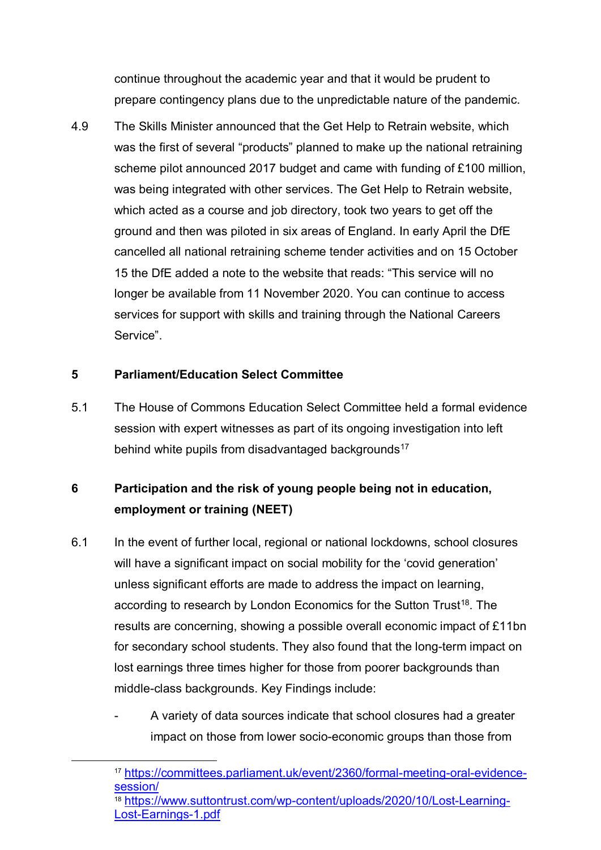continue throughout the academic year and that it would be prudent to prepare contingency plans due to the unpredictable nature of the pandemic.

4.9 The Skills Minister announced that the Get Help to Retrain website, which was the first of several "products" planned to make up the national retraining scheme pilot announced 2017 budget and came with funding of £100 million, was being integrated with other services. The Get Help to Retrain website, which acted as a course and job directory, took two years to get off the ground and then was piloted in six areas of England. In early April the DfE cancelled all national retraining scheme tender activities and on 15 October 15 the DfE added a note to the website that reads: "This service will no longer be available from 11 November 2020. You can continue to access services for support with skills and training through the National Careers Service".

#### **5 Parliament/Education Select Committee**

5.1 The House of Commons Education Select Committee held a formal evidence session with expert witnesses as part of its ongoing investigation into left behind white pupils from disadvantaged backgrounds<sup>[17](#page-5-0)</sup>

# **6 Participation and the risk of young people being not in education, employment or training (NEET)**

- 6.1 In the event of further local, regional or national lockdowns, school closures will have a significant impact on social mobility for the 'covid generation' unless significant efforts are made to address the impact on learning, according to research by London Economics for the Sutton Trust<sup>18</sup>. The results are concerning, showing a possible overall economic impact of £11bn for secondary school students. They also found that the long-term impact on lost earnings three times higher for those from poorer backgrounds than middle-class backgrounds. Key Findings include:
	- A variety of data sources indicate that school closures had a greater impact on those from lower socio-economic groups than those from

<span id="page-5-0"></span> <sup>17</sup> [https://committees.parliament.uk/event/2360/formal-meeting-oral-evidence](https://committees.parliament.uk/event/2360/formal-meeting-oral-evidence-session/)[session/](https://committees.parliament.uk/event/2360/formal-meeting-oral-evidence-session/)

<span id="page-5-1"></span><sup>18</sup> [https://www.suttontrust.com/wp-content/uploads/2020/10/Lost-Learning-](https://www.suttontrust.com/wp-content/uploads/2020/10/Lost-Learning-Lost-Earnings-1.pdf)[Lost-Earnings-1.pdf](https://www.suttontrust.com/wp-content/uploads/2020/10/Lost-Learning-Lost-Earnings-1.pdf)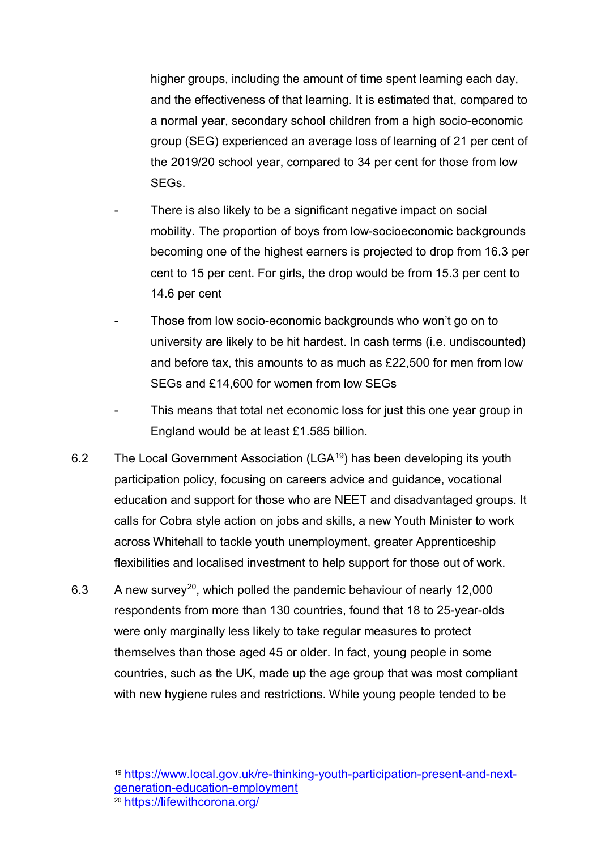higher groups, including the amount of time spent learning each day, and the effectiveness of that learning. It is estimated that, compared to a normal year, secondary school children from a high socio-economic group (SEG) experienced an average loss of learning of 21 per cent of the 2019/20 school year, compared to 34 per cent for those from low SEGs.

- There is also likely to be a significant negative impact on social mobility. The proportion of boys from low-socioeconomic backgrounds becoming one of the highest earners is projected to drop from 16.3 per cent to 15 per cent. For girls, the drop would be from 15.3 per cent to 14.6 per cent
- Those from low socio-economic backgrounds who won't go on to university are likely to be hit hardest. In cash terms (i.e. undiscounted) and before tax, this amounts to as much as £22,500 for men from low SEGs and £14,600 for women from low SEGs
- This means that total net economic loss for just this one year group in England would be at least £1.585 billion.
- 6.2 The Local Government Association (LGA<sup>19</sup>) has been developing its youth participation policy, focusing on careers advice and guidance, vocational education and support for those who are NEET and disadvantaged groups. It calls for Cobra style action on jobs and skills, a new Youth Minister to work across Whitehall to tackle youth unemployment, greater Apprenticeship flexibilities and localised investment to help support for those out of work.
- 6.3 A new survey<sup>[20](#page-6-1)</sup>, which polled the pandemic behaviour of nearly 12,000 respondents from more than 130 countries, found that 18 to 25-year-olds were only marginally less likely to take regular measures to protect themselves than those aged 45 or older. In fact, young people in some countries, such as the UK, made up the age group that was most compliant with new hygiene rules and restrictions. While young people tended to be

<span id="page-6-0"></span> <sup>19</sup> [https://www.local.gov.uk/re-thinking-youth-participation-present-and-next](https://www.local.gov.uk/re-thinking-youth-participation-present-and-next-generation-education-employment)[generation-education-employment](https://www.local.gov.uk/re-thinking-youth-participation-present-and-next-generation-education-employment)

<span id="page-6-1"></span><sup>20</sup> <https://lifewithcorona.org/>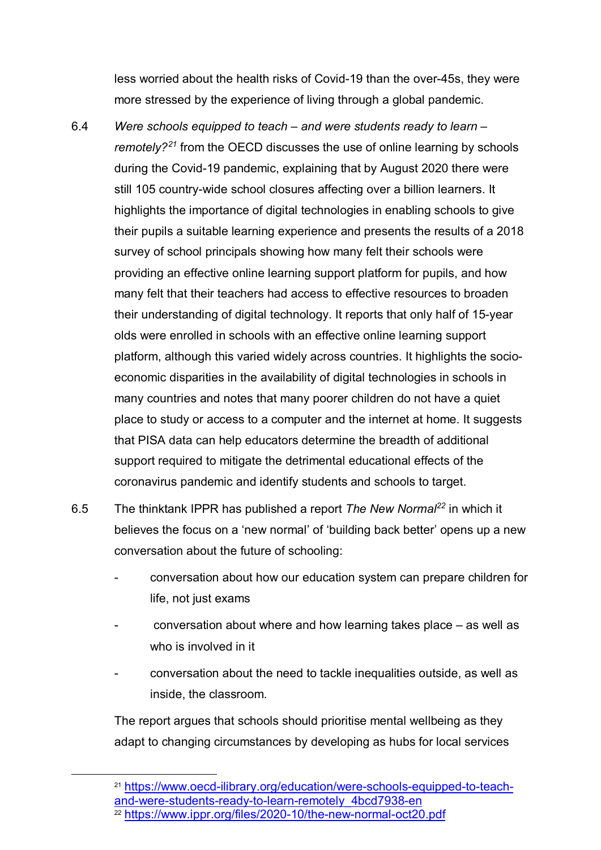less worried about the health risks of Covid-19 than the over-45s, they were more stressed by the experience of living through a global pandemic.

- 6.4 *Were schools equipped to teach – and were students ready to learn – remotely?[21](#page-7-0)* from the OECD discusses the use of online learning by schools during the Covid-19 pandemic, explaining that by August 2020 there were still 105 country-wide school closures affecting over a billion learners. It highlights the importance of digital technologies in enabling schools to give their pupils a suitable learning experience and presents the results of a 2018 survey of school principals showing how many felt their schools were providing an effective online learning support platform for pupils, and how many felt that their teachers had access to effective resources to broaden their understanding of digital technology. It reports that only half of 15-year olds were enrolled in schools with an effective online learning support platform, although this varied widely across countries. It highlights the socioeconomic disparities in the availability of digital technologies in schools in many countries and notes that many poorer children do not have a quiet place to study or access to a computer and the internet at home. It suggests that PISA data can help educators determine the breadth of additional support required to mitigate the detrimental educational effects of the coronavirus pandemic and identify students and schools to target.
- 6.5 The thinktank IPPR has published a report *The New Normal[22](#page-7-1)* in which it believes the focus on a 'new normal' of 'building back better' opens up a new conversation about the future of schooling:
	- conversation about how our education system can prepare children for life, not just exams
	- $conversion$  about where and how learning takes place  $-$  as well as who is involved in it
	- conversation about the need to tackle inequalities outside, as well as inside, the classroom.

The report argues that schools should prioritise mental wellbeing as they adapt to changing circumstances by developing as hubs for local services

<span id="page-7-0"></span> <sup>21</sup> [https://www.oecd-ilibrary.org/education/were-schools-equipped-to-teach](https://www.oecd-ilibrary.org/education/were-schools-equipped-to-teach-and-were-students-ready-to-learn-remotely_4bcd7938-en)[and-were-students-ready-to-learn-remotely\\_4bcd7938-en](https://www.oecd-ilibrary.org/education/were-schools-equipped-to-teach-and-were-students-ready-to-learn-remotely_4bcd7938-en)

<span id="page-7-1"></span><sup>22</sup> <https://www.ippr.org/files/2020-10/the-new-normal-oct20.pdf>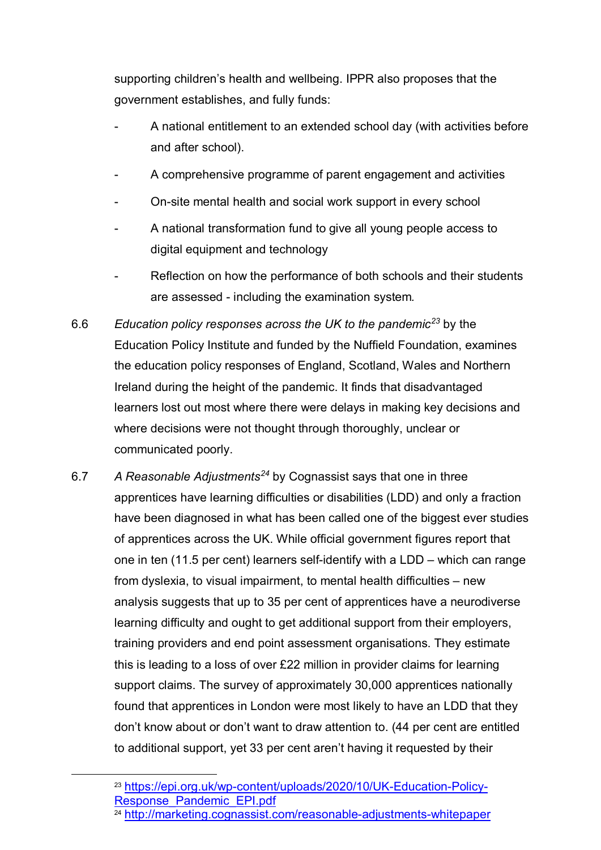supporting children's health and wellbeing. IPPR also proposes that the government establishes, and fully funds:

- A national entitlement to an extended school day (with activities before and after school).
- A comprehensive programme of parent engagement and activities
- On-site mental health and social work support in every school
- A national transformation fund to give all young people access to digital equipment and technology
- Reflection on how the performance of both schools and their students are assessed - including the examination system*.*
- 6.6 *Education policy responses across the UK to the pandemic[23](#page-8-0)* by the Education Policy Institute and funded by the Nuffield Foundation, examines the education policy responses of England, Scotland, Wales and Northern Ireland during the height of the pandemic. It finds that disadvantaged learners lost out most where there were delays in making key decisions and where decisions were not thought through thoroughly, unclear or communicated poorly.
- 6.7 *A Reasonable Adjustments[24](#page-8-1)* by Cognassist says that one in three apprentices have learning difficulties or disabilities (LDD) and only a fraction have been diagnosed in what has been called one of the biggest ever studies of apprentices across the UK. While official government figures report that one in ten (11.5 per cent) learners self-identify with a LDD – which can range from dyslexia, to visual impairment, to mental health difficulties – new analysis suggests that up to 35 per cent of apprentices have a neurodiverse learning difficulty and ought to get additional support from their employers, training providers and end point assessment organisations. They estimate this is leading to a loss of over £22 million in provider claims for learning support claims. The survey of approximately 30,000 apprentices nationally found that apprentices in London were most likely to have an LDD that they don't know about or don't want to draw attention to. (44 per cent are entitled to additional support, yet 33 per cent aren't having it requested by their

<span id="page-8-0"></span><sup>&</sup>lt;sup>23</sup> [https://epi.org.uk/wp-content/uploads/2020/10/UK-Education-Policy-](https://epi.org.uk/wp-content/uploads/2020/10/UK-Education-Policy-Response_Pandemic_EPI.pdf)[Response\\_Pandemic\\_EPI.pdf](https://epi.org.uk/wp-content/uploads/2020/10/UK-Education-Policy-Response_Pandemic_EPI.pdf)

<span id="page-8-1"></span><sup>24</sup> <http://marketing.cognassist.com/reasonable-adjustments-whitepaper>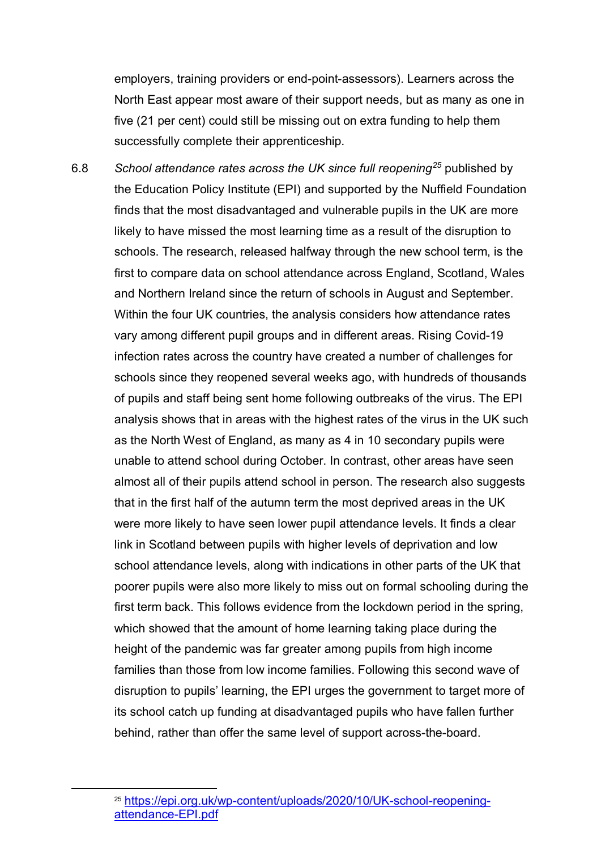employers, training providers or end-point-assessors). Learners across the North East appear most aware of their support needs, but as many as one in five (21 per cent) could still be missing out on extra funding to help them successfully complete their apprenticeship.

6.8 *School attendance rates across the UK since full reopening[25](#page-9-0)* published by the Education Policy Institute (EPI) and supported by the Nuffield Foundation finds that the most disadvantaged and vulnerable pupils in the UK are more likely to have missed the most learning time as a result of the disruption to schools. The research, released halfway through the new school term, is the first to compare data on school attendance across England, Scotland, Wales and Northern Ireland since the return of schools in August and September. Within the four UK countries, the analysis considers how attendance rates vary among different pupil groups and in different areas. Rising Covid-19 infection rates across the country have created a number of challenges for schools since they reopened several weeks ago, with hundreds of thousands of pupils and staff being sent home following outbreaks of the virus. The EPI analysis shows that in areas with the highest rates of the virus in the UK such as the North West of England, as many as 4 in 10 secondary pupils were unable to attend school during October. In contrast, other areas have seen almost all of their pupils attend school in person. The research also suggests that in the first half of the autumn term the most deprived areas in the UK were more likely to have seen lower pupil attendance levels. It finds a clear link in Scotland between pupils with higher levels of deprivation and low school attendance levels, along with indications in other parts of the UK that poorer pupils were also more likely to miss out on formal schooling during the first term back. This follows evidence from the lockdown period in the spring, which showed that the amount of home learning taking place during the height of the pandemic was far greater among pupils from high income families than those from low income families. Following this second wave of disruption to pupils' learning, the EPI urges the government to target more of its school catch up funding at disadvantaged pupils who have fallen further behind, rather than offer the same level of support across-the-board.

<span id="page-9-0"></span> <sup>25</sup> [https://epi.org.uk/wp-content/uploads/2020/10/UK-school-reopening](https://epi.org.uk/wp-content/uploads/2020/10/UK-school-reopening-attendance-EPI.pdf)[attendance-EPI.pdf](https://epi.org.uk/wp-content/uploads/2020/10/UK-school-reopening-attendance-EPI.pdf)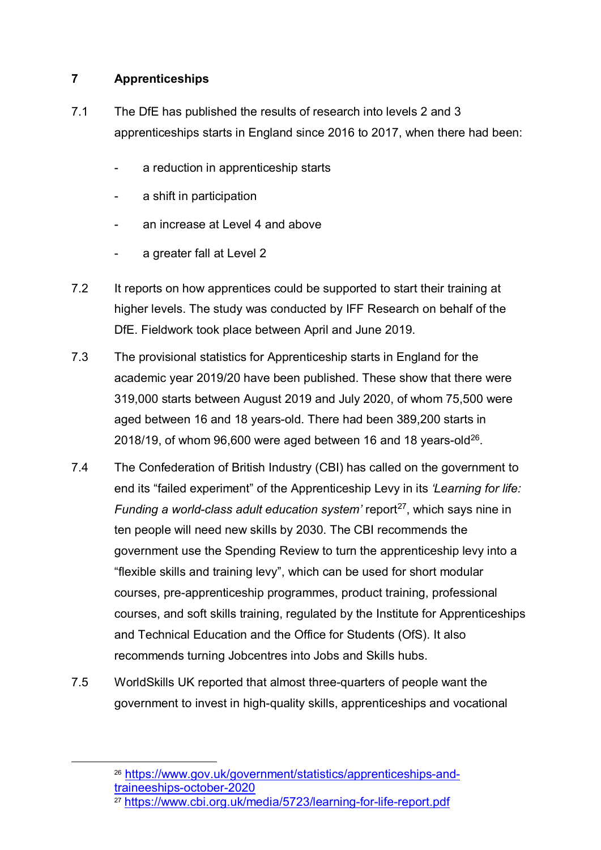# **7 Apprenticeships**

- 7.1 The DfE has published the results of research into levels 2 and 3 apprenticeships starts in England since 2016 to 2017, when there had been:
	- a reduction in apprenticeship starts
	- a shift in participation
	- an increase at Level 4 and above
	- a greater fall at Level 2
- 7.2 It reports on how apprentices could be supported to start their training at higher levels. The study was conducted by IFF Research on behalf of the DfE. Fieldwork took place between April and June 2019.
- 7.3 The provisional statistics for Apprenticeship starts in England for the academic year 2019/20 have been published. These show that there were 319,000 starts between August 2019 and July 2020, of whom 75,500 were aged between 16 and 18 years-old. There had been 389,200 starts in 2018/19, of whom 96,600 were aged between 16 and 18 years-old $^{26}$  $^{26}$  $^{26}$ .
- 7.4 The Confederation of British Industry (CBI) has called on the government to end its "failed experiment" of the Apprenticeship Levy in its *'Learning for life: Funding a world-class adult education system'* report<sup>27</sup>, which says nine in ten people will need new skills by 2030. The CBI recommends the government use the Spending Review to turn the apprenticeship levy into a "flexible skills and training levy", which can be used for short modular courses, pre-apprenticeship programmes, product training, professional courses, and soft skills training, regulated by the Institute for Apprenticeships and Technical Education and the Office for Students (OfS). It also recommends turning Jobcentres into Jobs and Skills hubs.
- 7.5 WorldSkills UK reported that almost three-quarters of people want the government to invest in high-quality skills, apprenticeships and vocational

<span id="page-10-0"></span> <sup>26</sup> [https://www.gov.uk/government/statistics/apprenticeships-and](https://www.gov.uk/government/statistics/apprenticeships-and-traineeships-october-2020)[traineeships-october-2020](https://www.gov.uk/government/statistics/apprenticeships-and-traineeships-october-2020)

<span id="page-10-1"></span><sup>27</sup> <https://www.cbi.org.uk/media/5723/learning-for-life-report.pdf>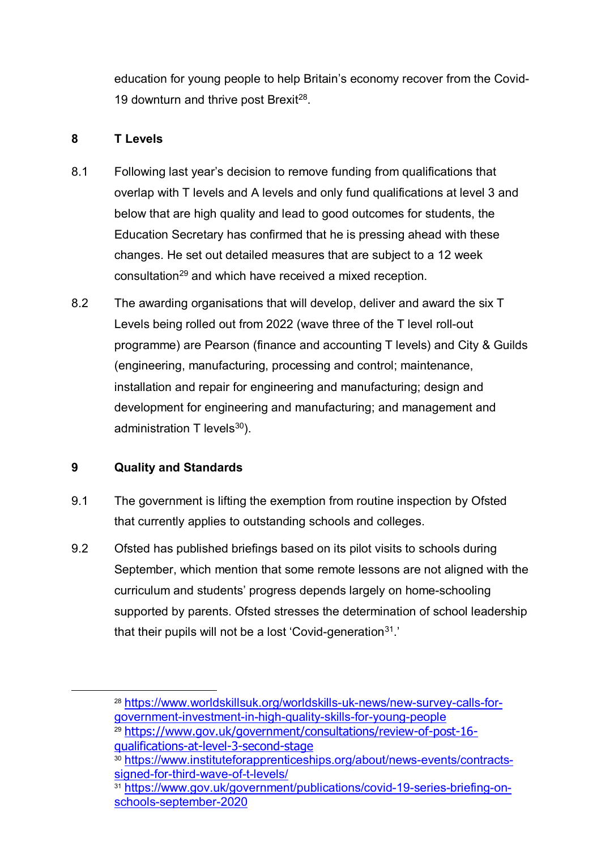education for young people to help Britain's economy recover from the Covid-19 downturn and thrive post Brexit<sup>28</sup>.

### **8 T Levels**

- <span id="page-11-0"></span>8.1 Following last year's decision to remove funding from qualifications that overlap with T levels and A levels and only fund qualifications at level 3 and below that are high quality and lead to good outcomes for students, the Education Secretary has confirmed that he is pressing ahead with these changes. He set out detailed measures that are subject to a 12 week consultation<sup>[29](#page-11-2)</sup> and which have received a mixed reception.
- 8.2 The awarding organisations that will develop, deliver and award the six T Levels being rolled out from 2022 (wave three of the T level roll-out programme) are Pearson (finance and accounting T levels) and City & Guilds (engineering, manufacturing, processing and control; maintenance, installation and repair for engineering and manufacturing; design and development for engineering and manufacturing; and management and administration  $T$  levels $^{30}$ ).

### **9 Quality and Standards**

- 9.1 The government is lifting the exemption from routine inspection by Ofsted that currently applies to outstanding schools and colleges.
- 9.2 Ofsted has published briefings based on its pilot visits to schools during September, which mention that some remote lessons are not aligned with the curriculum and students' progress depends largely on home-schooling supported by parents. Ofsted stresses the determination of school leadership that their pupils will not be a lost 'Covid-generation<sup>[31](#page-11-4)</sup>.'

<span id="page-11-1"></span> <sup>28</sup> [https://www.worldskillsuk.org/worldskills-uk-news/new-survey-calls-for](https://www.worldskillsuk.org/worldskills-uk-news/new-survey-calls-for-government-investment-in-high-quality-skills-for-young-people)[government-investment-in-high-quality-skills-for-young-people](https://www.worldskillsuk.org/worldskills-uk-news/new-survey-calls-for-government-investment-in-high-quality-skills-for-young-people)

<span id="page-11-2"></span><sup>29</sup> [https://www.gov.uk/government/consultations/review-of-post-16](https://www.gov.uk/government/consultations/review-of-post-16-qualifications-at-level-3-second-stage) [qualifications-at-level-3-second-stage](https://www.gov.uk/government/consultations/review-of-post-16-qualifications-at-level-3-second-stage)

<span id="page-11-3"></span><sup>30</sup> [https://www.instituteforapprenticeships.org/about/news-events/contracts](https://www.instituteforapprenticeships.org/about/news-events/contracts-signed-for-third-wave-of-t-levels/)[signed-for-third-wave-of-t-levels/](https://www.instituteforapprenticeships.org/about/news-events/contracts-signed-for-third-wave-of-t-levels/)

<span id="page-11-4"></span><sup>31</sup> [https://www.gov.uk/government/publications/covid-19-series-briefing-on](https://www.gov.uk/government/publications/covid-19-series-briefing-on-schools-september-2020)[schools-september-2020](https://www.gov.uk/government/publications/covid-19-series-briefing-on-schools-september-2020)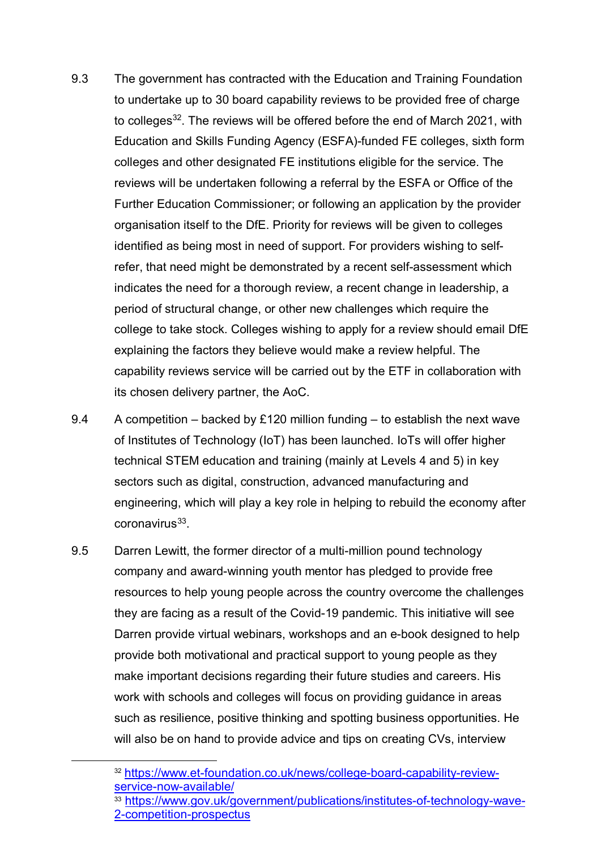- 9.3 The government has contracted with the Education and Training Foundation to undertake up to 30 board capability reviews to be provided free of charge to colleges<sup>32</sup>. The reviews will be offered before the end of March 2021, with Education and Skills Funding Agency (ESFA)-funded FE colleges, sixth form colleges and other designated FE institutions eligible for the service. The reviews will be undertaken following a referral by the ESFA or Office of the Further Education Commissioner; or following an application by the provider organisation itself to the DfE. Priority for reviews will be given to colleges identified as being most in need of support. For providers wishing to selfrefer, that need might be demonstrated by a recent self-assessment which indicates the need for a thorough review, a recent change in leadership, a period of structural change, or other new challenges which require the college to take stock. Colleges wishing to apply for a review should email DfE explaining the factors they believe would make a review helpful. The capability reviews service will be carried out by the ETF in collaboration with its chosen delivery partner, the AoC.
- 9.4 A competition backed by £120 million funding to establish the next wave of Institutes of Technology (IoT) has been launched. IoTs will offer higher technical STEM education and training (mainly at Levels 4 and 5) in key sectors such as digital, construction, advanced manufacturing and engineering, which will play a key role in helping to rebuild the economy after  $coronavirus<sup>33</sup>$ .
- 9.5 Darren Lewitt, the former director of a multi-million pound technology company and award-winning youth mentor has pledged to provide free resources to help young people across the country overcome the challenges they are facing as a result of the Covid-19 pandemic. This initiative will see Darren provide virtual webinars, workshops and an e-book designed to help provide both motivational and practical support to young people as they make important decisions regarding their future studies and careers. His work with schools and colleges will focus on providing guidance in areas such as resilience, positive thinking and spotting business opportunities. He will also be on hand to provide advice and tips on creating CVs, interview

<span id="page-12-0"></span> <sup>32</sup> [https://www.et-foundation.co.uk/news/college-board-capability-review](https://www.et-foundation.co.uk/news/college-board-capability-review-service-now-available/)[service-now-available/](https://www.et-foundation.co.uk/news/college-board-capability-review-service-now-available/)

<span id="page-12-1"></span><sup>33</sup> [https://www.gov.uk/government/publications/institutes-of-technology-wave-](https://www.gov.uk/government/publications/institutes-of-technology-wave-2-competition-prospectus)[2-competition-prospectus](https://www.gov.uk/government/publications/institutes-of-technology-wave-2-competition-prospectus)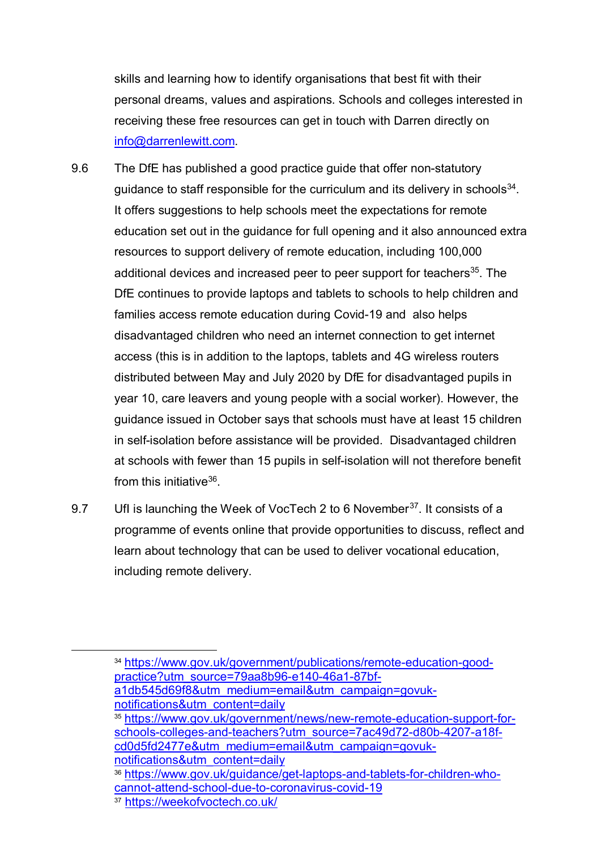skills and learning how to identify organisations that best fit with their personal dreams, values and aspirations. Schools and colleges interested in receiving these free resources can get in touch with Darren directly on [info@darrenlewitt.com.](mailto:info@darrenlewitt.com)

- 9.6 The DfE has published a good practice guide that offer non-statutory guidance to staff responsible for the curriculum and its delivery in schools $34$ . It offers suggestions to help schools meet the expectations for remote education set out in the guidance for full opening and it also announced extra resources to support delivery of remote education, including 100,000 additional devices and increased peer to peer support for teachers<sup>35</sup>. The DfE continues to provide laptops and tablets to schools to help children and families access remote education during Covid-19 and also helps disadvantaged children who need an internet connection to get internet access (this is in addition to the laptops, tablets and 4G wireless routers distributed between May and July 2020 by DfE for disadvantaged pupils in year 10, care leavers and young people with a social worker). However, the guidance issued in October says that schools must have at least 15 children in self-isolation before assistance will be provided. Disadvantaged children at schools with fewer than 15 pupils in self-isolation will not therefore benefit from this initiative<sup>36</sup>
- 9.7 Ufl is launching the Week of VocTech 2 to 6 November<sup>37</sup>. It consists of a programme of events online that provide opportunities to discuss, reflect and learn about technology that can be used to deliver vocational education, including remote delivery.

<span id="page-13-1"></span><span id="page-13-0"></span> <sup>34</sup> [https://www.gov.uk/government/publications/remote-education-good](https://www.gov.uk/government/publications/remote-education-good-practice?utm_source=79aa8b96-e140-46a1-87bf-a1db545d69f8&utm_medium=email&utm_campaign=govuk-notifications&utm_content=daily)[practice?utm\\_source=79aa8b96-e140-46a1-87bf](https://www.gov.uk/government/publications/remote-education-good-practice?utm_source=79aa8b96-e140-46a1-87bf-a1db545d69f8&utm_medium=email&utm_campaign=govuk-notifications&utm_content=daily)[a1db545d69f8&utm\\_medium=email&utm\\_campaign=govuk](https://www.gov.uk/government/publications/remote-education-good-practice?utm_source=79aa8b96-e140-46a1-87bf-a1db545d69f8&utm_medium=email&utm_campaign=govuk-notifications&utm_content=daily)[notifications&utm\\_content=daily](https://www.gov.uk/government/publications/remote-education-good-practice?utm_source=79aa8b96-e140-46a1-87bf-a1db545d69f8&utm_medium=email&utm_campaign=govuk-notifications&utm_content=daily) <sup>35</sup> [https://www.gov.uk/government/news/new-remote-education-support-for](https://www.gov.uk/government/news/new-remote-education-support-for-schools-colleges-and-teachers?utm_source=7ac49d72-d80b-4207-a18f-cd0d5fd2477e&utm_medium=email&utm_campaign=govuk-notifications&utm_content=daily)[schools-colleges-and-teachers?utm\\_source=7ac49d72-d80b-4207-a18f](https://www.gov.uk/government/news/new-remote-education-support-for-schools-colleges-and-teachers?utm_source=7ac49d72-d80b-4207-a18f-cd0d5fd2477e&utm_medium=email&utm_campaign=govuk-notifications&utm_content=daily)[cd0d5fd2477e&utm\\_medium=email&utm\\_campaign=govuk](https://www.gov.uk/government/news/new-remote-education-support-for-schools-colleges-and-teachers?utm_source=7ac49d72-d80b-4207-a18f-cd0d5fd2477e&utm_medium=email&utm_campaign=govuk-notifications&utm_content=daily)[notifications&utm\\_content=daily](https://www.gov.uk/government/news/new-remote-education-support-for-schools-colleges-and-teachers?utm_source=7ac49d72-d80b-4207-a18f-cd0d5fd2477e&utm_medium=email&utm_campaign=govuk-notifications&utm_content=daily) <sup>36</sup> [https://www.gov.uk/guidance/get-laptops-and-tablets-for-children-who](https://www.gov.uk/guidance/get-laptops-and-tablets-for-children-who-cannot-attend-school-due-to-coronavirus-covid-19)[cannot-attend-school-due-to-coronavirus-covid-19](https://www.gov.uk/guidance/get-laptops-and-tablets-for-children-who-cannot-attend-school-due-to-coronavirus-covid-19)

<span id="page-13-3"></span><span id="page-13-2"></span><sup>&</sup>lt;sup>37</sup> <https://weekofvoctech.co.uk/>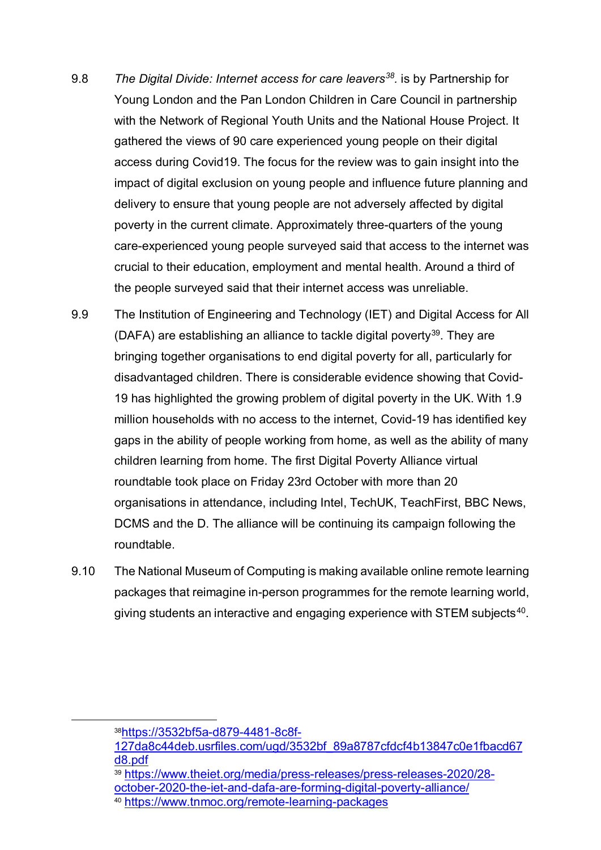- 9.8 *The Digital Divide: Internet access for care leavers[38.](#page-14-0)* is by Partnership for Young London and the Pan London Children in Care Council in partnership with the Network of Regional Youth Units and the National House Project. It gathered the views of 90 care experienced young people on their digital access during Covid19. The focus for the review was to gain insight into the impact of digital exclusion on young people and influence future planning and delivery to ensure that young people are not adversely affected by digital poverty in the current climate. Approximately three-quarters of the young care-experienced young people surveyed said that access to the internet was crucial to their education, employment and mental health. Around a third of the people surveyed said that their internet access was unreliable.
- 9.9 The Institution of Engineering and Technology (IET) and Digital Access for All (DAFA) are establishing an alliance to tackle digital poverty<sup>[39](#page-14-1)</sup>. They are bringing together organisations to end digital poverty for all, particularly for disadvantaged children. There is considerable evidence showing that Covid-19 has highlighted the growing problem of digital poverty in the UK. With 1.9 million households with no access to the internet, Covid-19 has identified key gaps in the ability of people working from home, as well as the ability of many children learning from home. The first Digital Poverty Alliance virtual roundtable took place on Friday 23rd October with more than 20 organisations in attendance, including Intel, TechUK, TeachFirst, BBC News, DCMS and the D. The alliance will be continuing its campaign following the roundtable.
- 9.10 The National Museum of Computing is making available online remote learning packages that reimagine in-person programmes for the remote learning world, giving students an interactive and engaging experience with STEM subjects<sup>40</sup>.

<span id="page-14-0"></span> <sup>3</sup>[8https://3532bf5a-d879-4481-8c8f-](https://3532bf5a-d879-4481-8c8f-127da8c44deb.usrfiles.com/ugd/3532bf_89a8787cfdcf4b13847c0e1fbacd67d8.pdf)

[<sup>127</sup>da8c44deb.usrfiles.com/ugd/3532bf\\_89a8787cfdcf4b13847c0e1fbacd67](https://3532bf5a-d879-4481-8c8f-127da8c44deb.usrfiles.com/ugd/3532bf_89a8787cfdcf4b13847c0e1fbacd67d8.pdf) [d8.pdf](https://3532bf5a-d879-4481-8c8f-127da8c44deb.usrfiles.com/ugd/3532bf_89a8787cfdcf4b13847c0e1fbacd67d8.pdf)

<span id="page-14-1"></span><sup>39</sup> [https://www.theiet.org/media/press-releases/press-releases-2020/28](https://www.theiet.org/media/press-releases/press-releases-2020/28-october-2020-the-iet-and-dafa-are-forming-digital-poverty-alliance/) [october-2020-the-iet-and-dafa-are-forming-digital-poverty-alliance/](https://www.theiet.org/media/press-releases/press-releases-2020/28-october-2020-the-iet-and-dafa-are-forming-digital-poverty-alliance/)

<span id="page-14-2"></span><sup>40</sup> <https://www.tnmoc.org/remote-learning-packages>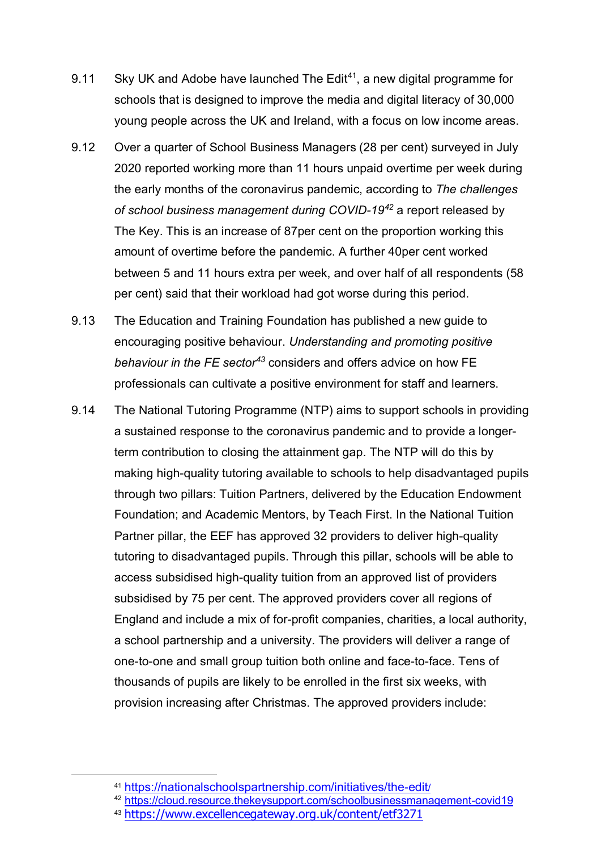- 9.11 Sky UK and Adobe have launched The Edit<sup>[41](#page-15-0)</sup>, a new digital programme for schools that is designed to improve the media and digital literacy of 30,000 young people across the UK and Ireland, with a focus on low income areas.
- 9.12 Over a quarter of School Business Managers (28 per cent) surveyed in July 2020 reported working more than 11 hours unpaid overtime per week during the early months of the coronavirus pandemic, according to *The challenges of school business management during COVID-19[42](#page-15-1)* a report released by The Key. This is an increase of 87per cent on the proportion working this amount of overtime before the pandemic. A further 40per cent worked between 5 and 11 hours extra per week, and over half of all respondents (58 per cent) said that their workload had got worse during this period.
- 9.13 The Education and Training Foundation has published a new guide to encouraging positive behaviour. *Understanding and promoting positive behaviour in the FE sector[43](#page-15-2)* considers and offers advice on how FE professionals can cultivate a positive environment for staff and learners.
- 9.14 The National Tutoring Programme (NTP) aims to support schools in providing a sustained response to the coronavirus pandemic and to provide a longerterm contribution to closing the attainment gap. The NTP will do this by making high-quality tutoring available to schools to help disadvantaged pupils through two pillars: Tuition Partners, delivered by the Education Endowment Foundation; and Academic Mentors, by Teach First. In the National Tuition Partner pillar, the EEF has approved 32 providers to deliver high-quality tutoring to disadvantaged pupils. Through this pillar, schools will be able to access subsidised high-quality tuition from an approved list of providers subsidised by 75 per cent. The approved providers cover all regions of England and include a mix of for-profit companies, charities, a local authority, a school partnership and a university. The providers will deliver a range of one-to-one and small group tuition both online and face-to-face. Tens of thousands of pupils are likely to be enrolled in the first six weeks, with provision increasing after Christmas. The approved providers include:

<span id="page-15-1"></span><span id="page-15-0"></span> <sup>41</sup> <https://nationalschoolspartnership.com/initiatives/the-edit/>

<sup>42</sup> <https://cloud.resource.thekeysupport.com/schoolbusinessmanagement-covid19>

<span id="page-15-2"></span><sup>43</sup> <https://www.excellencegateway.org.uk/content/etf3271>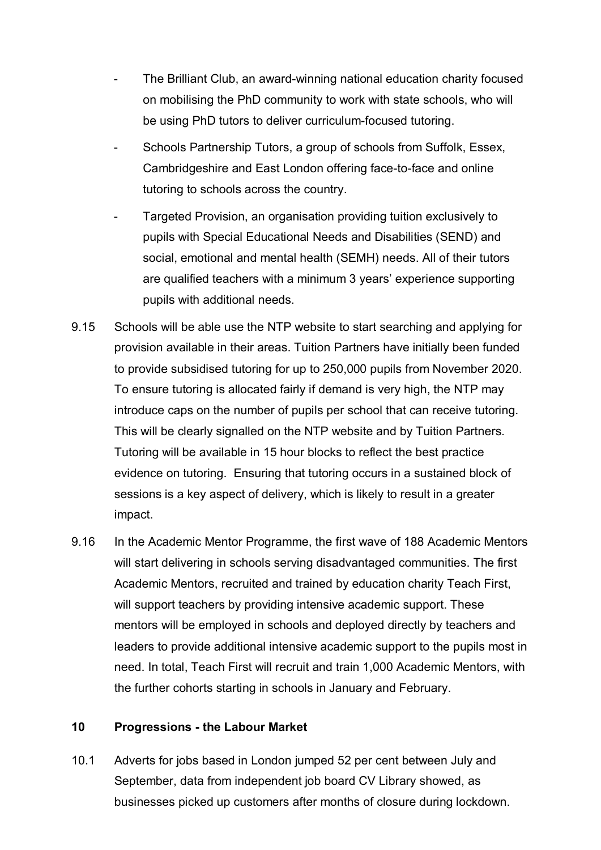- The Brilliant Club, an award-winning national education charity focused on mobilising the PhD community to work with state schools, who will be using PhD tutors to deliver curriculum-focused tutoring.
- Schools Partnership Tutors, a group of schools from Suffolk, Essex, Cambridgeshire and East London offering face-to-face and online tutoring to schools across the country.
- Targeted Provision, an organisation providing tuition exclusively to pupils with Special Educational Needs and Disabilities (SEND) and social, emotional and mental health (SEMH) needs. All of their tutors are qualified teachers with a minimum 3 years' experience supporting pupils with additional needs.
- 9.15 Schools will be able use the NTP website to start searching and applying for provision available in their areas. Tuition Partners have initially been funded to provide subsidised tutoring for up to 250,000 pupils from November 2020. To ensure tutoring is allocated fairly if demand is very high, the NTP may introduce caps on the number of pupils per school that can receive tutoring. This will be clearly signalled on the NTP website and by Tuition Partners. Tutoring will be available in 15 hour blocks to reflect the best practice evidence on tutoring. Ensuring that tutoring occurs in a sustained block of sessions is a key aspect of delivery, which is likely to result in a greater impact.
- 9.16 In the Academic Mentor Programme, the first wave of 188 Academic Mentors will start delivering in schools serving disadvantaged communities. The first Academic Mentors, recruited and trained by education charity Teach First, will support teachers by providing intensive academic support. These mentors will be employed in schools and deployed directly by teachers and leaders to provide additional intensive academic support to the pupils most in need. In total, Teach First will recruit and train 1,000 Academic Mentors, with the further cohorts starting in schools in January and February.

#### **10 Progressions - the Labour Market**

10.1 Adverts for jobs based in London jumped 52 per cent between July and September, data from independent job board CV Library showed, as businesses picked up customers after months of closure during lockdown.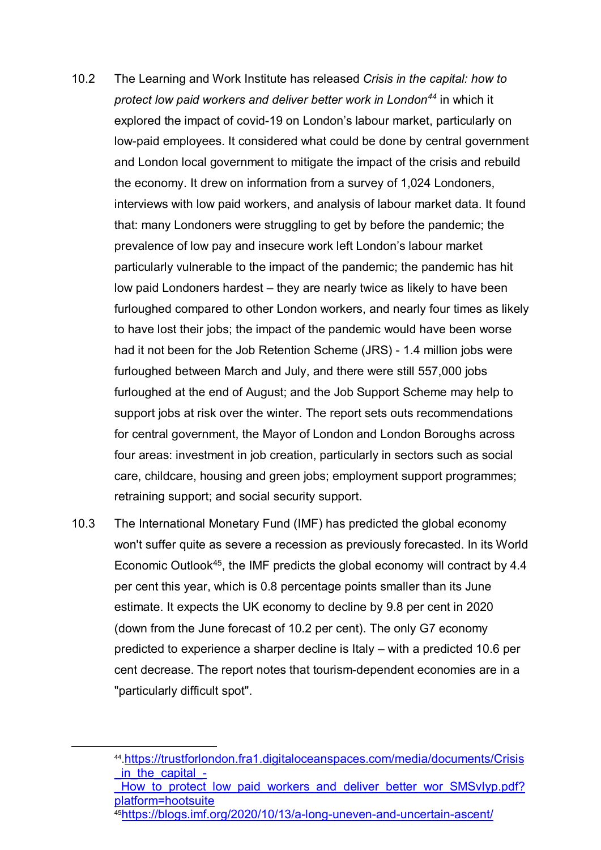- 10.2 The Learning and Work Institute has released *Crisis in the capital: how to protect low paid workers and deliver better work in London[44](#page-17-0)* in which it explored the impact of covid-19 on London's labour market, particularly on low-paid employees. It considered what could be done by central government and London local government to mitigate the impact of the crisis and rebuild the economy. It drew on information from a survey of 1,024 Londoners, interviews with low paid workers, and analysis of labour market data. It found that: many Londoners were struggling to get by before the pandemic; the prevalence of low pay and insecure work left London's labour market particularly vulnerable to the impact of the pandemic; the pandemic has hit low paid Londoners hardest – they are nearly twice as likely to have been furloughed compared to other London workers, and nearly four times as likely to have lost their jobs; the impact of the pandemic would have been worse had it not been for the Job Retention Scheme (JRS) - 1.4 million jobs were furloughed between March and July, and there were still 557,000 jobs furloughed at the end of August; and the Job Support Scheme may help to support jobs at risk over the winter. The report sets outs recommendations for central government, the Mayor of London and London Boroughs across four areas: investment in job creation, particularly in sectors such as social care, childcare, housing and green jobs; employment support programmes; retraining support; and social security support.
- 10.3 The International Monetary Fund (IMF) has predicted the global economy won't suffer quite as severe a recession as previously forecasted. In its World Economic Outlook[45,](#page-17-1) the IMF predicts the global economy will contract by 4.4 per cent this year, which is 0.8 percentage points smaller than its June estimate. It expects the UK economy to decline by 9.8 per cent in 2020 (down from the June forecast of 10.2 per cent). The only G7 economy predicted to experience a sharper decline is Italy – with a predicted 10.6 per cent decrease. The report notes that tourism-dependent economies are in a "particularly difficult spot".

<span id="page-17-0"></span> <sup>44</sup>[.https://trustforlondon.fra1.digitaloceanspaces.com/media/documents/Crisis](https://trustforlondon.fra1.digitaloceanspaces.com/media/documents/Crisis_in_the_capital_-_How_to_protect_low_paid_workers_and_deliver_better_wor_SMSvIyp.pdf?platform=hootsuite) in the capital -

How to protect low paid workers and deliver better wor SMSvIyp.pdf? [platform=hootsuite](https://trustforlondon.fra1.digitaloceanspaces.com/media/documents/Crisis_in_the_capital_-_How_to_protect_low_paid_workers_and_deliver_better_wor_SMSvIyp.pdf?platform=hootsuite)

<span id="page-17-1"></span><sup>4</sup>[5https://blogs.imf.org/2020/10/13/a-long-uneven-and-uncertain-ascent/](https://blogs.imf.org/2020/10/13/a-long-uneven-and-uncertain-ascent/)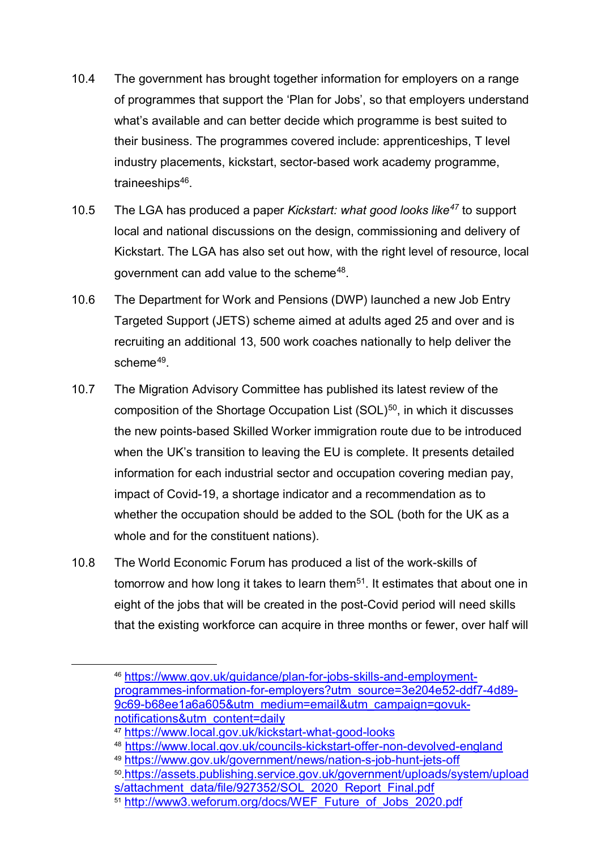- 10.4 The government has brought together information for employers on a range of programmes that support the 'Plan for Jobs', so that employers understand what's available and can better decide which programme is best suited to their business. The programmes covered include: apprenticeships, T level industry placements, kickstart, sector-based work academy programme, traineeships<sup>[46](#page-18-0)</sup>.
- 10.5 The LGA has produced a paper *Kickstart: what good looks like[47](#page-18-1)* to support local and national discussions on the design, commissioning and delivery of Kickstart. The LGA has also set out how, with the right level of resource, local government can add value to the scheme<sup>[48](#page-18-2)</sup>.
- 10.6 The Department for Work and Pensions (DWP) launched a new Job Entry Targeted Support (JETS) scheme aimed at adults aged 25 and over and is recruiting an additional 13, 500 work coaches nationally to help deliver the scheme<sup>[49](#page-18-3)</sup>
- 10.7 The Migration Advisory Committee has published its latest review of the composition of the Shortage Occupation List (SOL)<sup>[50](#page-18-4)</sup>, in which it discusses the new points-based Skilled Worker immigration route due to be introduced when the UK's transition to leaving the EU is complete. It presents detailed information for each industrial sector and occupation covering median pay, impact of Covid-19, a shortage indicator and a recommendation as to whether the occupation should be added to the SOL (both for the UK as a whole and for the constituent nations).
- 10.8 The World Economic Forum has produced a list of the work-skills of tomorrow and how long it takes to learn them<sup>51</sup>. It estimates that about one in eight of the jobs that will be created in the post-Covid period will need skills that the existing workforce can acquire in three months or fewer, over half will

<span id="page-18-0"></span> <sup>46</sup> [https://www.gov.uk/guidance/plan-for-jobs-skills-and-employment](https://www.gov.uk/guidance/plan-for-jobs-skills-and-employment-programmes-information-for-employers?utm_source=3e204e52-ddf7-4d89-9c69-b68ee1a6a605&utm_medium=email&utm_campaign=govuk-notifications&utm_content=daily)[programmes-information-for-employers?utm\\_source=3e204e52-ddf7-4d89-](https://www.gov.uk/guidance/plan-for-jobs-skills-and-employment-programmes-information-for-employers?utm_source=3e204e52-ddf7-4d89-9c69-b68ee1a6a605&utm_medium=email&utm_campaign=govuk-notifications&utm_content=daily) [9c69-b68ee1a6a605&utm\\_medium=email&utm\\_campaign=govuk](https://www.gov.uk/guidance/plan-for-jobs-skills-and-employment-programmes-information-for-employers?utm_source=3e204e52-ddf7-4d89-9c69-b68ee1a6a605&utm_medium=email&utm_campaign=govuk-notifications&utm_content=daily)[notifications&utm\\_content=daily](https://www.gov.uk/guidance/plan-for-jobs-skills-and-employment-programmes-information-for-employers?utm_source=3e204e52-ddf7-4d89-9c69-b68ee1a6a605&utm_medium=email&utm_campaign=govuk-notifications&utm_content=daily)

<span id="page-18-1"></span><sup>47</sup> <https://www.local.gov.uk/kickstart-what-good-looks>

<span id="page-18-2"></span><sup>48</sup> <https://www.local.gov.uk/councils-kickstart-offer-non-devolved-england>

<sup>49</sup> <https://www.gov.uk/government/news/nation-s-job-hunt-jets-off>

<span id="page-18-4"></span><span id="page-18-3"></span><sup>50</sup>[.https://assets.publishing.service.gov.uk/government/uploads/system/upload](https://assets.publishing.service.gov.uk/government/uploads/system/uploads/attachment_data/file/927352/SOL_2020_Report_Final.pdf) [s/attachment\\_data/file/927352/SOL\\_2020\\_Report\\_Final.pdf](https://assets.publishing.service.gov.uk/government/uploads/system/uploads/attachment_data/file/927352/SOL_2020_Report_Final.pdf)

<span id="page-18-5"></span><sup>&</sup>lt;sup>51</sup> [http://www3.weforum.org/docs/WEF\\_Future\\_of\\_Jobs\\_2020.pdf](http://www3.weforum.org/docs/WEF_Future_of_Jobs_2020.pdf)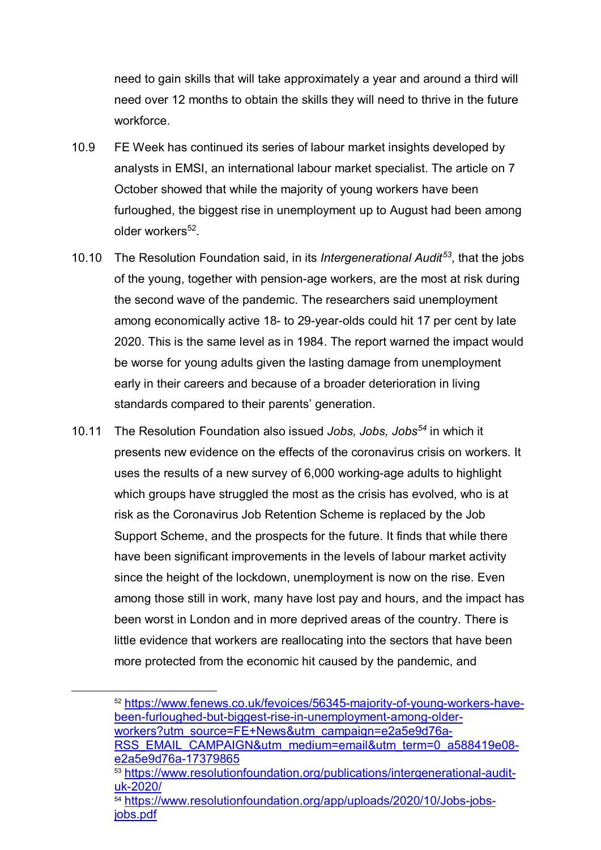need to gain skills that will take approximately a year and around a third will need over 12 months to obtain the skills they will need to thrive in the future workforce.

- 10.9 FE Week has continued its series of labour market insights developed by analysts in EMSI, an international labour market specialist. The article on 7 October showed that while the majority of young workers have been furloughed, the biggest rise in unemployment up to August had been among older workers<sup>[52](#page-19-0)</sup>.
- 10.10 The Resolution Foundation said, in its *Intergenerational Audit[53](#page-19-1)*, that the jobs of the young, together with pension-age workers, are the most at risk during the second wave of the pandemic. The researchers said unemployment among economically active 18- to 29-year-olds could hit 17 per cent by late 2020. This is the same level as in 1984. The report warned the impact would be worse for young adults given the lasting damage from unemployment early in their careers and because of a broader deterioration in living standards compared to their parents' generation.
- 10.11 The Resolution Foundation also issued *Jobs, Jobs, Jobs[54](#page-19-2)* in which it presents new evidence on the effects of the coronavirus crisis on workers. It uses the results of a new survey of 6,000 working-age adults to highlight which groups have struggled the most as the crisis has evolved, who is at risk as the Coronavirus Job Retention Scheme is replaced by the Job Support Scheme, and the prospects for the future. It finds that while there have been significant improvements in the levels of labour market activity since the height of the lockdown, unemployment is now on the rise. Even among those still in work, many have lost pay and hours, and the impact has been worst in London and in more deprived areas of the country. There is little evidence that workers are reallocating into the sectors that have been more protected from the economic hit caused by the pandemic, and

<span id="page-19-0"></span> <sup>52</sup> [https://www.fenews.co.uk/fevoices/56345-majority-of-young-workers-have](https://www.fenews.co.uk/fevoices/56345-majority-of-young-workers-have-been-furloughed-but-biggest-rise-in-unemployment-among-older-workers?utm_source=FE+News&utm_campaign=e2a5e9d76a-RSS_EMAIL_CAMPAIGN&utm_medium=email&utm_term=0_a588419e08-e2a5e9d76a-17379865)[been-furloughed-but-biggest-rise-in-unemployment-among-older](https://www.fenews.co.uk/fevoices/56345-majority-of-young-workers-have-been-furloughed-but-biggest-rise-in-unemployment-among-older-workers?utm_source=FE+News&utm_campaign=e2a5e9d76a-RSS_EMAIL_CAMPAIGN&utm_medium=email&utm_term=0_a588419e08-e2a5e9d76a-17379865)[workers?utm\\_source=FE+News&utm\\_campaign=e2a5e9d76a-](https://www.fenews.co.uk/fevoices/56345-majority-of-young-workers-have-been-furloughed-but-biggest-rise-in-unemployment-among-older-workers?utm_source=FE+News&utm_campaign=e2a5e9d76a-RSS_EMAIL_CAMPAIGN&utm_medium=email&utm_term=0_a588419e08-e2a5e9d76a-17379865)

[RSS\\_EMAIL\\_CAMPAIGN&utm\\_medium=email&utm\\_term=0\\_a588419e08](https://www.fenews.co.uk/fevoices/56345-majority-of-young-workers-have-been-furloughed-but-biggest-rise-in-unemployment-among-older-workers?utm_source=FE+News&utm_campaign=e2a5e9d76a-RSS_EMAIL_CAMPAIGN&utm_medium=email&utm_term=0_a588419e08-e2a5e9d76a-17379865) [e2a5e9d76a-17379865](https://www.fenews.co.uk/fevoices/56345-majority-of-young-workers-have-been-furloughed-but-biggest-rise-in-unemployment-among-older-workers?utm_source=FE+News&utm_campaign=e2a5e9d76a-RSS_EMAIL_CAMPAIGN&utm_medium=email&utm_term=0_a588419e08-e2a5e9d76a-17379865)

<span id="page-19-1"></span><sup>53</sup> [https://www.resolutionfoundation.org/publications/intergenerational-audit](https://www.resolutionfoundation.org/publications/intergenerational-audit-uk-2020/)[uk-2020/](https://www.resolutionfoundation.org/publications/intergenerational-audit-uk-2020/)

<span id="page-19-2"></span><sup>54</sup> [https://www.resolutionfoundation.org/app/uploads/2020/10/Jobs-jobs](https://www.resolutionfoundation.org/app/uploads/2020/10/Jobs-jobs-jobs.pdf)[jobs.pdf](https://www.resolutionfoundation.org/app/uploads/2020/10/Jobs-jobs-jobs.pdf)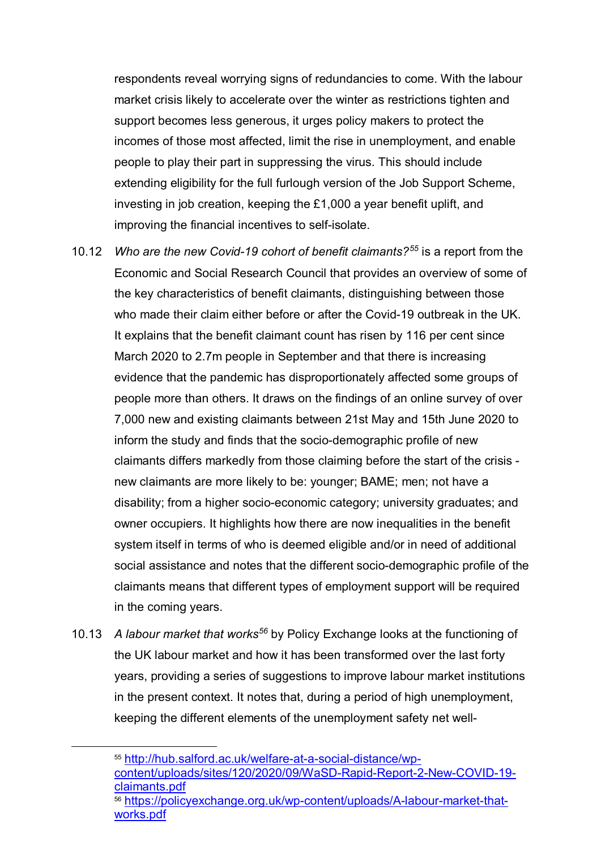respondents reveal worrying signs of redundancies to come. With the labour market crisis likely to accelerate over the winter as restrictions tighten and support becomes less generous, it urges policy makers to protect the incomes of those most affected, limit the rise in unemployment, and enable people to play their part in suppressing the virus. This should include extending eligibility for the full furlough version of the Job Support Scheme, investing in job creation, keeping the £1,000 a year benefit uplift, and improving the financial incentives to self-isolate.

- 10.12 *Who are the new Covid-19 cohort of benefit claimants?[55](#page-20-0)* is a report from the Economic and Social Research Council that provides an overview of some of the key characteristics of benefit claimants, distinguishing between those who made their claim either before or after the Covid-19 outbreak in the UK. It explains that the benefit claimant count has risen by 116 per cent since March 2020 to 2.7m people in September and that there is increasing evidence that the pandemic has disproportionately affected some groups of people more than others. It draws on the findings of an online survey of over 7,000 new and existing claimants between 21st May and 15th June 2020 to inform the study and finds that the socio-demographic profile of new claimants differs markedly from those claiming before the start of the crisis new claimants are more likely to be: younger; BAME; men; not have a disability; from a higher socio-economic category; university graduates; and owner occupiers. It highlights how there are now inequalities in the benefit system itself in terms of who is deemed eligible and/or in need of additional social assistance and notes that the different socio-demographic profile of the claimants means that different types of employment support will be required in the coming years.
- 10.13 *A labour market that works[56](#page-20-1)* by Policy Exchange looks at the functioning of the UK labour market and how it has been transformed over the last forty years, providing a series of suggestions to improve labour market institutions in the present context. It notes that, during a period of high unemployment, keeping the different elements of the unemployment safety net well-

<span id="page-20-1"></span><span id="page-20-0"></span> <sup>55</sup> [http://hub.salford.ac.uk/welfare-at-a-social-distance/wp](http://hub.salford.ac.uk/welfare-at-a-social-distance/wp-content/uploads/sites/120/2020/09/WaSD-Rapid-Report-2-New-COVID-19-claimants.pdf)[content/uploads/sites/120/2020/09/WaSD-Rapid-Report-2-New-COVID-19](http://hub.salford.ac.uk/welfare-at-a-social-distance/wp-content/uploads/sites/120/2020/09/WaSD-Rapid-Report-2-New-COVID-19-claimants.pdf) [claimants.pdf](http://hub.salford.ac.uk/welfare-at-a-social-distance/wp-content/uploads/sites/120/2020/09/WaSD-Rapid-Report-2-New-COVID-19-claimants.pdf) <sup>56</sup> [https://policyexchange.org.uk/wp-content/uploads/A-labour-market-that](https://policyexchange.org.uk/wp-content/uploads/A-labour-market-that-works.pdf)[works.pdf](https://policyexchange.org.uk/wp-content/uploads/A-labour-market-that-works.pdf)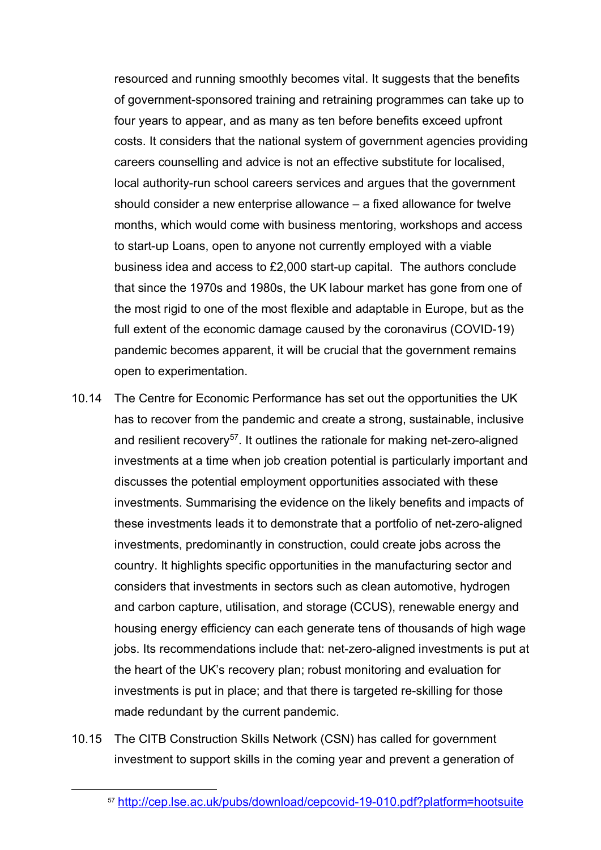resourced and running smoothly becomes vital. It suggests that the benefits of government-sponsored training and retraining programmes can take up to four years to appear, and as many as ten before benefits exceed upfront costs. It considers that the national system of government agencies providing careers counselling and advice is not an effective substitute for localised, local authority-run school careers services and argues that the government should consider a new enterprise allowance – a fixed allowance for twelve months, which would come with business mentoring, workshops and access to start-up Loans, open to anyone not currently employed with a viable business idea and access to £2,000 start-up capital. The authors conclude that since the 1970s and 1980s, the UK labour market has gone from one of the most rigid to one of the most flexible and adaptable in Europe, but as the full extent of the economic damage caused by the coronavirus (COVID-19) pandemic becomes apparent, it will be crucial that the government remains open to experimentation.

- 10.14 The Centre for Economic Performance has set out the opportunities the UK has to recover from the pandemic and create a strong, sustainable, inclusive and resilient recovery<sup>[57](#page-21-0)</sup>. It outlines the rationale for making net-zero-aligned investments at a time when job creation potential is particularly important and discusses the potential employment opportunities associated with these investments. Summarising the evidence on the likely benefits and impacts of these investments leads it to demonstrate that a portfolio of net-zero-aligned investments, predominantly in construction, could create jobs across the country. It highlights specific opportunities in the manufacturing sector and considers that investments in sectors such as clean automotive, hydrogen and carbon capture, utilisation, and storage (CCUS), renewable energy and housing energy efficiency can each generate tens of thousands of high wage jobs. Its recommendations include that: net-zero-aligned investments is put at the heart of the UK's recovery plan; robust monitoring and evaluation for investments is put in place; and that there is targeted re-skilling for those made redundant by the current pandemic.
- <span id="page-21-0"></span>10.15 The CITB Construction Skills Network (CSN) has called for government investment to support skills in the coming year and prevent a generation of

 <sup>57</sup> <http://cep.lse.ac.uk/pubs/download/cepcovid-19-010.pdf?platform=hootsuite>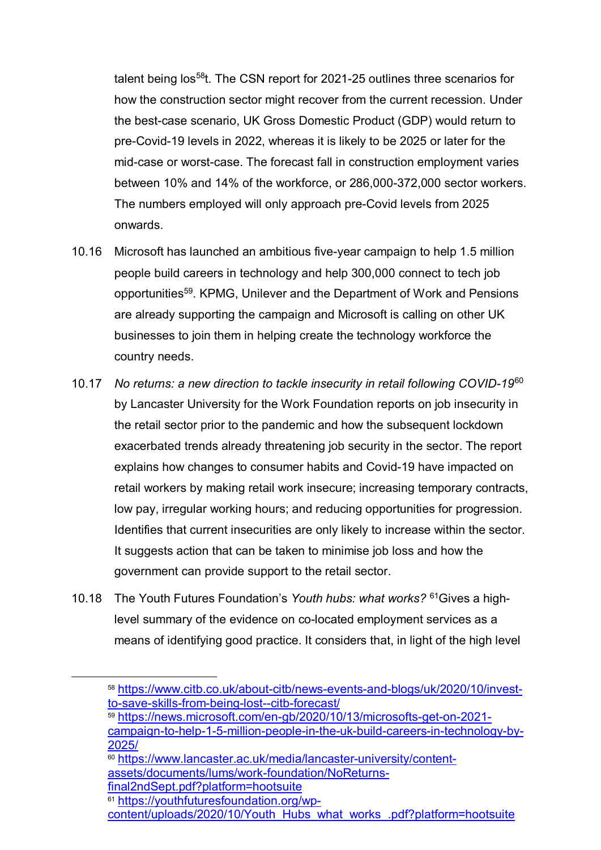talent being los<sup>58</sup>t. The CSN report for 2021-25 outlines three scenarios for how the construction sector might recover from the current recession. Under the best-case scenario, UK Gross Domestic Product (GDP) would return to pre-Covid-19 levels in 2022, whereas it is likely to be 2025 or later for the mid-case or worst-case. The forecast fall in construction employment varies between 10% and 14% of the workforce, or 286,000-372,000 sector workers. The numbers employed will only approach pre-Covid levels from 2025 onwards.

- 10.16 Microsoft has launched an ambitious five-year campaign to help 1.5 million people build careers in technology and help 300,000 connect to tech job opportunitie[s59](#page-22-1). KPMG, Unilever and the Department of Work and Pensions are already supporting the campaign and Microsoft is calling on other UK businesses to join them in helping create the technology workforce the country needs.
- 10.17 *No returns: a new direction to tackle insecurity in retail following COVID-19*[60](#page-22-2) by Lancaster University for the Work Foundation reports on job insecurity in the retail sector prior to the pandemic and how the subsequent lockdown exacerbated trends already threatening job security in the sector. The report explains how changes to consumer habits and Covid-19 have impacted on retail workers by making retail work insecure; increasing temporary contracts, low pay, irregular working hours; and reducing opportunities for progression. Identifies that current insecurities are only likely to increase within the sector. It suggests action that can be taken to minimise job loss and how the government can provide support to the retail sector.
- 10.18 The Youth Futures Foundation's *Youth hubs: what works?* [61G](#page-22-3)ives a highlevel summary of the evidence on co-located employment services as a means of identifying good practice. It considers that, in light of the high level

[final2ndSept.pdf?platform=hootsuite](https://www.lancaster.ac.uk/media/lancaster-university/content-assets/documents/lums/work-foundation/NoReturns-final2ndSept.pdf?platform=hootsuite)

<span id="page-22-3"></span><sup>61</sup> [https://youthfuturesfoundation.org/wp-](https://youthfuturesfoundation.org/wp-content/uploads/2020/10/Youth_Hubs_what_works_.pdf?platform=hootsuite)

<span id="page-22-0"></span> <sup>58</sup> [https://www.citb.co.uk/about-citb/news-events-and-blogs/uk/2020/10/invest](https://www.citb.co.uk/about-citb/news-events-and-blogs/uk/2020/10/invest-to-save-skills-from-being-lost--citb-forecast/)[to-save-skills-from-being-lost--citb-forecast/](https://www.citb.co.uk/about-citb/news-events-and-blogs/uk/2020/10/invest-to-save-skills-from-being-lost--citb-forecast/)

<span id="page-22-1"></span><sup>59</sup> [https://news.microsoft.com/en-gb/2020/10/13/microsofts-get-on-2021](https://news.microsoft.com/en-gb/2020/10/13/microsofts-get-on-2021-campaign-to-help-1-5-million-people-in-the-uk-build-careers-in-technology-by-2025/) [campaign-to-help-1-5-million-people-in-the-uk-build-careers-in-technology-by-](https://news.microsoft.com/en-gb/2020/10/13/microsofts-get-on-2021-campaign-to-help-1-5-million-people-in-the-uk-build-careers-in-technology-by-2025/)[2025/](https://news.microsoft.com/en-gb/2020/10/13/microsofts-get-on-2021-campaign-to-help-1-5-million-people-in-the-uk-build-careers-in-technology-by-2025/)

<span id="page-22-2"></span><sup>&</sup>lt;sup>60</sup> [https://www.lancaster.ac.uk/media/lancaster-university/content](https://www.lancaster.ac.uk/media/lancaster-university/content-assets/documents/lums/work-foundation/NoReturns-final2ndSept.pdf?platform=hootsuite)[assets/documents/lums/work-foundation/NoReturns-](https://www.lancaster.ac.uk/media/lancaster-university/content-assets/documents/lums/work-foundation/NoReturns-final2ndSept.pdf?platform=hootsuite)

[content/uploads/2020/10/Youth\\_Hubs\\_what\\_works\\_.pdf?platform=hootsuite](https://youthfuturesfoundation.org/wp-content/uploads/2020/10/Youth_Hubs_what_works_.pdf?platform=hootsuite)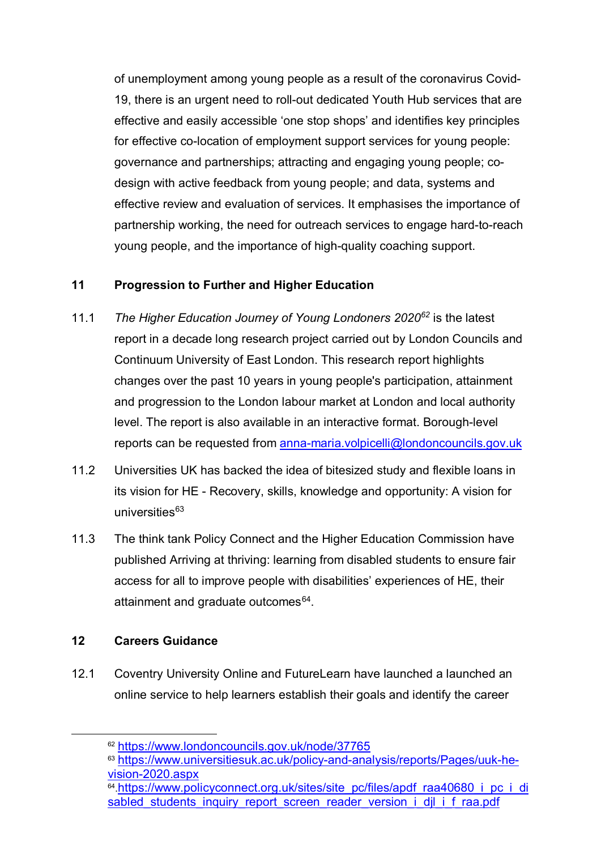of unemployment among young people as a result of the coronavirus Covid-19, there is an urgent need to roll-out dedicated Youth Hub services that are effective and easily accessible 'one stop shops' and identifies key principles for effective co-location of employment support services for young people: governance and partnerships; attracting and engaging young people; codesign with active feedback from young people; and data, systems and effective review and evaluation of services. It emphasises the importance of partnership working, the need for outreach services to engage hard-to-reach young people, and the importance of high-quality coaching support.

#### **11 Progression to Further and Higher Education**

- 11.1 *The Higher Education Journey of Young Londoners 2020[62](#page-23-0)* is the latest report in a decade long research project carried out by London Councils and Continuum University of East London. This research report highlights changes over the past 10 years in young people's participation, attainment and progression to the London labour market at London and local authority level. The report is also available in an interactive format. Borough-level reports can be requested from [anna-maria.volpicelli@londoncouncils.gov.uk](mailto:anna-maria.volpicelli@londoncouncils.gov.uk)
- 11.2 Universities UK has backed the idea of bitesized study and flexible loans in its vision for HE - Recovery, skills, knowledge and opportunity: A vision for universities $63$
- 11.3 The think tank Policy Connect and the Higher Education Commission have published Arriving at thriving: learning from disabled students to ensure fair access for all to improve people with disabilities' experiences of HE, their attainment and graduate outcomes<sup>64</sup>.

### **12 Careers Guidance**

<span id="page-23-0"></span>12.1 Coventry University Online and FutureLearn have launched a launched an online service to help learners establish their goals and identify the career

 <sup>62</sup> <https://www.londoncouncils.gov.uk/node/37765>

<span id="page-23-1"></span><sup>63</sup> [https://www.universitiesuk.ac.uk/policy-and-analysis/reports/Pages/uuk-he](https://www.universitiesuk.ac.uk/policy-and-analysis/reports/Pages/uuk-he-vision-2020.aspx)[vision-2020.aspx](https://www.universitiesuk.ac.uk/policy-and-analysis/reports/Pages/uuk-he-vision-2020.aspx)

<span id="page-23-2"></span><sup>64</sup>[.https://www.policyconnect.org.uk/sites/site\\_pc/files/apdf\\_raa40680\\_i\\_pc\\_i\\_di](https://www.policyconnect.org.uk/sites/site_pc/files/apdf_raa40680_i_pc_i_disabled_students_inquiry_report_screen_reader_version_i_djl_i_f_raa.pdf) sabled\_students\_inquiry\_report\_screen\_reader\_version\_i\_dil\_i\_f\_raa.pdf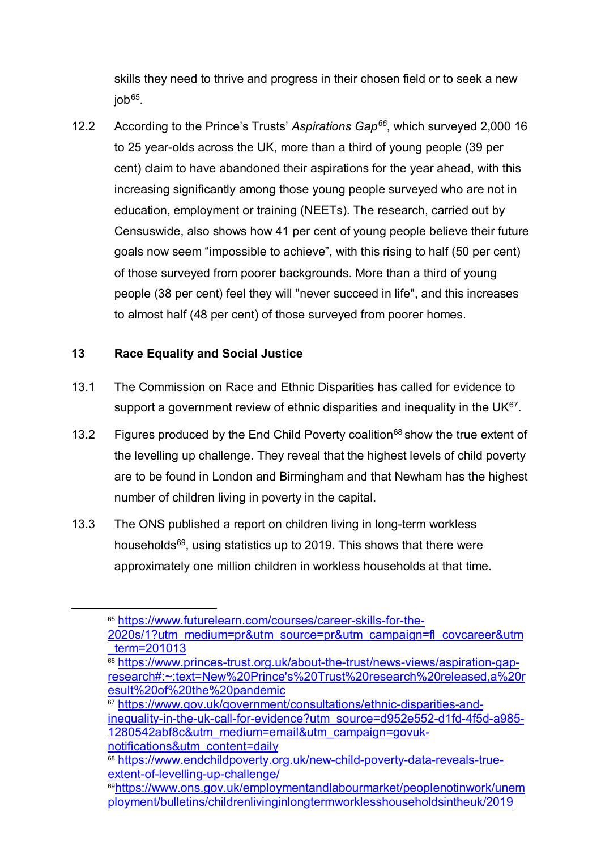skills they need to thrive and progress in their chosen field or to seek a new  $i$ ob $65$ .

12.2 According to the Prince's Trusts' *Aspirations Gap[66](#page-24-1)*, which surveyed 2,000 16 to 25 year-olds across the UK, more than a third of young people (39 per cent) claim to have abandoned their aspirations for the year ahead, with this increasing significantly among those young people surveyed who are not in education, employment or training (NEETs). The research, carried out by Censuswide, also shows how 41 per cent of young people believe their future goals now seem "impossible to achieve", with this rising to half (50 per cent) of those surveyed from poorer backgrounds. More than a third of young people (38 per cent) feel they will "never succeed in life", and this increases to almost half (48 per cent) of those surveyed from poorer homes.

#### **13 Race Equality and Social Justice**

- 13.1 The Commission on Race and Ethnic Disparities has called for evidence to support a government review of ethnic disparities and inequality in the UK $^{67}$  $^{67}$  $^{67}$ .
- 13.2 Figures produced by the End Child Poverty coalition<sup>[68](#page-24-3)</sup> show the true extent of the levelling up challenge. They reveal that the highest levels of child poverty are to be found in London and Birmingham and that Newham has the highest number of children living in poverty in the capital.
- 13.3 The ONS published a report on children living in long-term workless households<sup>69</sup>, using statistics up to 2019. This shows that there were approximately one million children in workless households at that time.

<span id="page-24-1"></span> $\overline{66}$  [https://www.princes-trust.org.uk/about-the-trust/news-views/aspiration-gap](https://www.princes-trust.org.uk/about-the-trust/news-views/aspiration-gap-research#:%7E:text=New%20Prince)[research#:~:text=New%20Prince's%20Trust%20research%20released,a%20r](https://www.princes-trust.org.uk/about-the-trust/news-views/aspiration-gap-research#:%7E:text=New%20Prince) [esult%20of%20the%20pandemic](https://www.princes-trust.org.uk/about-the-trust/news-views/aspiration-gap-research#:%7E:text=New%20Prince)

<span id="page-24-2"></span><sup>67</sup> [https://www.gov.uk/government/consultations/ethnic-disparities-and-](https://www.gov.uk/government/consultations/ethnic-disparities-and-inequality-in-the-uk-call-for-evidence?utm_source=d952e552-d1fd-4f5d-a985-1280542abf8c&utm_medium=email&utm_campaign=govuk-notifications&utm_content=daily)

[inequality-in-the-uk-call-for-evidence?utm\\_source=d952e552-d1fd-4f5d-a985-](https://www.gov.uk/government/consultations/ethnic-disparities-and-inequality-in-the-uk-call-for-evidence?utm_source=d952e552-d1fd-4f5d-a985-1280542abf8c&utm_medium=email&utm_campaign=govuk-notifications&utm_content=daily) [1280542abf8c&utm\\_medium=email&utm\\_campaign=govuk](https://www.gov.uk/government/consultations/ethnic-disparities-and-inequality-in-the-uk-call-for-evidence?utm_source=d952e552-d1fd-4f5d-a985-1280542abf8c&utm_medium=email&utm_campaign=govuk-notifications&utm_content=daily)[notifications&utm\\_content=daily](https://www.gov.uk/government/consultations/ethnic-disparities-and-inequality-in-the-uk-call-for-evidence?utm_source=d952e552-d1fd-4f5d-a985-1280542abf8c&utm_medium=email&utm_campaign=govuk-notifications&utm_content=daily)

<span id="page-24-0"></span> <sup>65</sup> [https://www.futurelearn.com/courses/career-skills-for-the-](https://www.futurelearn.com/courses/career-skills-for-the-2020s/1?utm_medium=pr&utm_source=pr&utm_campaign=fl_covcareer&utm_term=201013)[2020s/1?utm\\_medium=pr&utm\\_source=pr&utm\\_campaign=fl\\_covcareer&utm](https://www.futurelearn.com/courses/career-skills-for-the-2020s/1?utm_medium=pr&utm_source=pr&utm_campaign=fl_covcareer&utm_term=201013) [\\_term=201013](https://www.futurelearn.com/courses/career-skills-for-the-2020s/1?utm_medium=pr&utm_source=pr&utm_campaign=fl_covcareer&utm_term=201013)

<span id="page-24-3"></span><sup>68</sup> [https://www.endchildpoverty.org.uk/new-child-poverty-data-reveals-true](https://www.endchildpoverty.org.uk/new-child-poverty-data-reveals-true-extent-of-levelling-up-challenge/)[extent-of-levelling-up-challenge/](https://www.endchildpoverty.org.uk/new-child-poverty-data-reveals-true-extent-of-levelling-up-challenge/)

<span id="page-24-4"></span><sup>6</sup>[9https://www.ons.gov.uk/employmentandlabourmarket/peoplenotinwork/unem](https://www.ons.gov.uk/employmentandlabourmarket/peoplenotinwork/unemployment/bulletins/childrenlivinginlongtermworklesshouseholdsintheuk/2019) [ployment/bulletins/childrenlivinginlongtermworklesshouseholdsintheuk/2019](https://www.ons.gov.uk/employmentandlabourmarket/peoplenotinwork/unemployment/bulletins/childrenlivinginlongtermworklesshouseholdsintheuk/2019)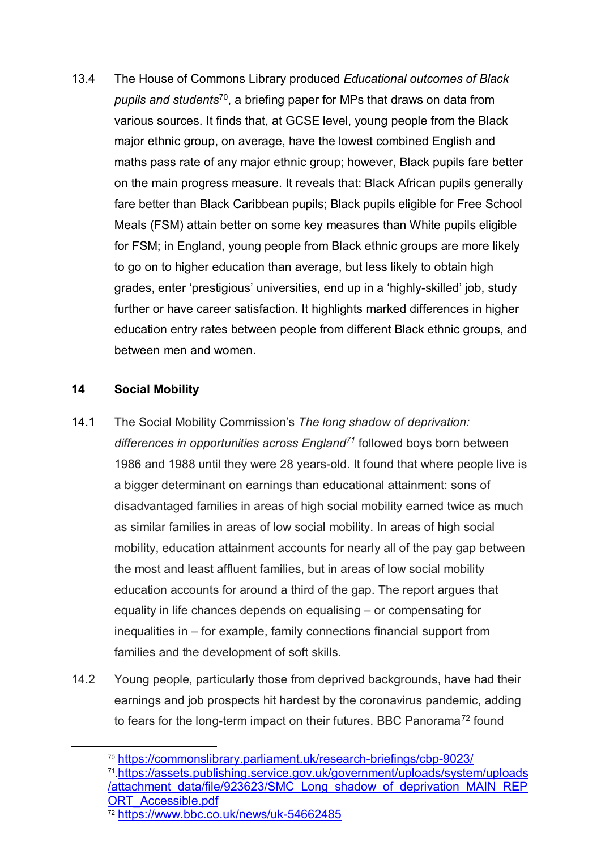<span id="page-25-0"></span>13.4 The House of Commons Library produced *Educational outcomes of Black pupils and students*[70,](#page-25-1) a briefing paper for MPs that draws on data from various sources. It finds that, at GCSE level, young people from the Black major ethnic group, on average, have the lowest combined English and maths pass rate of any major ethnic group; however, Black pupils fare better on the main progress measure. It reveals that: Black African pupils generally fare better than Black Caribbean pupils; Black pupils eligible for Free School Meals (FSM) attain better on some key measures than White pupils eligible for FSM; in England, young people from Black ethnic groups are more likely to go on to higher education than average, but less likely to obtain high grades, enter 'prestigious' universities, end up in a 'highly-skilled' job, study further or have career satisfaction. It highlights marked differences in higher education entry rates between people from different Black ethnic groups, and between men and women.

### **14 Social Mobility**

- 14.1 The Social Mobility Commission's *The long shadow of deprivation: differences in opportunities across England[71](#page-25-2)* followed boys born between 1986 and 1988 until they were 28 years-old. It found that where people live is a bigger determinant on earnings than educational attainment: sons of disadvantaged families in areas of high social mobility earned twice as much as similar families in areas of low social mobility. In areas of high social mobility, education attainment accounts for nearly all of the pay gap between the most and least affluent families, but in areas of low social mobility education accounts for around a third of the gap. The report argues that equality in life chances depends on equalising – or compensating for inequalities in – for example, family connections financial support from families and the development of soft skills.
- 14.2 Young people, particularly those from deprived backgrounds, have had their earnings and job prospects hit hardest by the coronavirus pandemic, adding to fears for the long-term impact on their futures. BBC Panorama<sup>[72](#page-25-3)</sup> found

<span id="page-25-1"></span> <sup>70</sup> <https://commonslibrary.parliament.uk/research-briefings/cbp-9023/>

<span id="page-25-2"></span><sup>71</sup>[.https://assets.publishing.service.gov.uk/government/uploads/system/uploads](https://assets.publishing.service.gov.uk/government/uploads/system/uploads/attachment_data/file/923623/SMC_Long_shadow_of_deprivation_MAIN_REPORT_Accessible.pdf) [/attachment\\_data/file/923623/SMC\\_Long\\_shadow\\_of\\_deprivation\\_MAIN\\_REP](https://assets.publishing.service.gov.uk/government/uploads/system/uploads/attachment_data/file/923623/SMC_Long_shadow_of_deprivation_MAIN_REPORT_Accessible.pdf) [ORT\\_Accessible.pdf](https://assets.publishing.service.gov.uk/government/uploads/system/uploads/attachment_data/file/923623/SMC_Long_shadow_of_deprivation_MAIN_REPORT_Accessible.pdf)

<span id="page-25-3"></span><sup>72</sup> <https://www.bbc.co.uk/news/uk-54662485>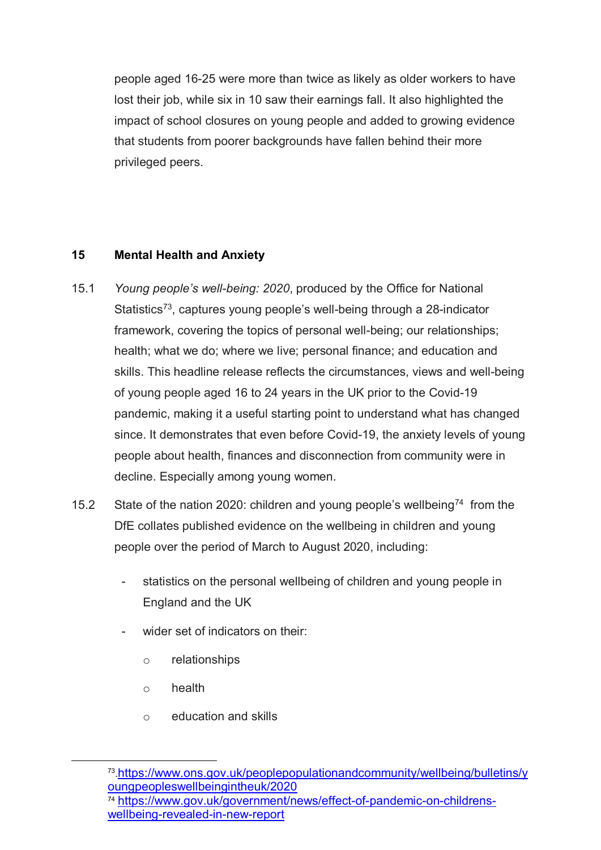people aged 16-25 were more than twice as likely as older workers to have lost their job, while six in 10 saw their earnings fall. It also highlighted the impact of school closures on young people and added to growing evidence that students from poorer backgrounds have fallen behind their more privileged peers.

### **15 Mental Health and Anxiety**

- 15.1 *Young people's well-being: 2020*, produced by the Office for National Statistics<sup>[73](#page-26-0)</sup>, captures young people's well-being through a 28-indicator framework, covering the topics of personal well-being; our relationships; health; what we do; where we live; personal finance; and education and skills. This headline release reflects the circumstances, views and well-being of young people aged 16 to 24 years in the UK prior to the Covid-19 pandemic, making it a useful starting point to understand what has changed since. It demonstrates that even before Covid-19, the anxiety levels of young people about health, finances and disconnection from community were in decline. Especially among young women.
- 15.2 State of the nation 2020: children and young people's wellbeing<sup>[74](#page-26-1)</sup> from the DfE collates published evidence on the wellbeing in children and young people over the period of March to August 2020, including:
	- statistics on the personal wellbeing of children and young people in England and the UK
	- wider set of indicators on their:
		- o relationships
		- o health
		- o education and skills

<span id="page-26-0"></span> <sup>73</sup>[.https://www.ons.gov.uk/peoplepopulationandcommunity/wellbeing/bulletins/y](https://www.ons.gov.uk/peoplepopulationandcommunity/wellbeing/bulletins/youngpeopleswellbeingintheuk/2020) [oungpeopleswellbeingintheuk/2020](https://www.ons.gov.uk/peoplepopulationandcommunity/wellbeing/bulletins/youngpeopleswellbeingintheuk/2020)

<span id="page-26-1"></span><sup>74</sup> [https://www.gov.uk/government/news/effect-of-pandemic-on-childrens](https://www.gov.uk/government/news/effect-of-pandemic-on-childrens-wellbeing-revealed-in-new-report)[wellbeing-revealed-in-new-report](https://www.gov.uk/government/news/effect-of-pandemic-on-childrens-wellbeing-revealed-in-new-report)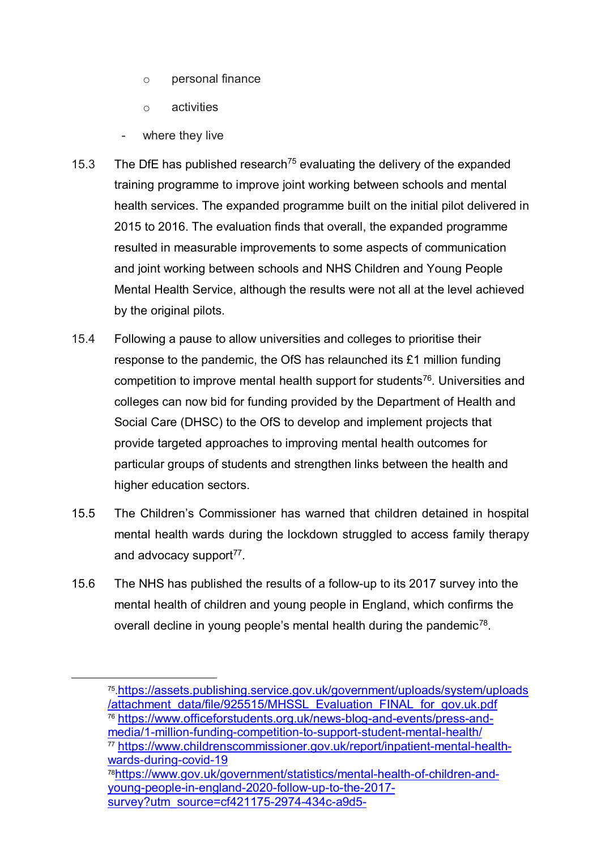- o personal finance
- o activities
- where they live
- 15.3 The DfE has published research<sup>[75](#page-27-0)</sup> evaluating the delivery of the expanded training programme to improve joint working between schools and mental health services. The expanded programme built on the initial pilot delivered in 2015 to 2016. The evaluation finds that overall, the expanded programme resulted in measurable improvements to some aspects of communication and joint working between schools and NHS Children and Young People Mental Health Service, although the results were not all at the level achieved by the original pilots.
- 15.4 Following a pause to allow universities and colleges to prioritise their response to the pandemic, the OfS has relaunched its £1 million funding competition to improve mental health support for students<sup>76</sup>. Universities and colleges can now bid for funding provided by the Department of Health and Social Care (DHSC) to the OfS to develop and implement projects that provide targeted approaches to improving mental health outcomes for particular groups of students and strengthen links between the health and higher education sectors.
- 15.5 The Children's Commissioner has warned that children detained in hospital mental health wards during the lockdown struggled to access family therapy and advocacy support $77$ .
- 15.6 The NHS has published the results of a follow-up to its 2017 survey into the mental health of children and young people in England, which confirms the overall decline in young people's mental health during the pandemic<sup>[78](#page-27-3)</sup>.

<span id="page-27-2"></span><sup>77</sup> [https://www.childrenscommissioner.gov.uk/report/inpatient-mental-health](https://www.childrenscommissioner.gov.uk/report/inpatient-mental-health-wards-during-covid-19)[wards-during-covid-19](https://www.childrenscommissioner.gov.uk/report/inpatient-mental-health-wards-during-covid-19)

<span id="page-27-3"></span>7[8https://www.gov.uk/government/statistics/mental-health-of-children-and](https://www.gov.uk/government/statistics/mental-health-of-children-and-young-people-in-england-2020-follow-up-to-the-2017-survey?utm_source=cf421175-2974-434c-a9d5-75e712444120&utm_medium=email&utm_campaign=govuk-notifications&utm_content=daily)[young-people-in-england-2020-follow-up-to-the-2017](https://www.gov.uk/government/statistics/mental-health-of-children-and-young-people-in-england-2020-follow-up-to-the-2017-survey?utm_source=cf421175-2974-434c-a9d5-75e712444120&utm_medium=email&utm_campaign=govuk-notifications&utm_content=daily) [survey?utm\\_source=cf421175-2974-434c-a9d5-](https://www.gov.uk/government/statistics/mental-health-of-children-and-young-people-in-england-2020-follow-up-to-the-2017-survey?utm_source=cf421175-2974-434c-a9d5-75e712444120&utm_medium=email&utm_campaign=govuk-notifications&utm_content=daily)

<span id="page-27-0"></span> <sup>75</sup>[.https://assets.publishing.service.gov.uk/government/uploads/system/uploads](https://assets.publishing.service.gov.uk/government/uploads/system/uploads/attachment_data/file/925515/MHSSL_Evaluation_FINAL_for_gov.uk.pdf) [/attachment\\_data/file/925515/MHSSL\\_Evaluation\\_FINAL\\_for\\_gov.uk.pdf](https://assets.publishing.service.gov.uk/government/uploads/system/uploads/attachment_data/file/925515/MHSSL_Evaluation_FINAL_for_gov.uk.pdf)

<span id="page-27-1"></span><sup>76</sup> [https://www.officeforstudents.org.uk/news-blog-and-events/press-and](https://www.officeforstudents.org.uk/news-blog-and-events/press-and-media/1-million-funding-competition-to-support-student-mental-health/)[media/1-million-funding-competition-to-support-student-mental-health/](https://www.officeforstudents.org.uk/news-blog-and-events/press-and-media/1-million-funding-competition-to-support-student-mental-health/)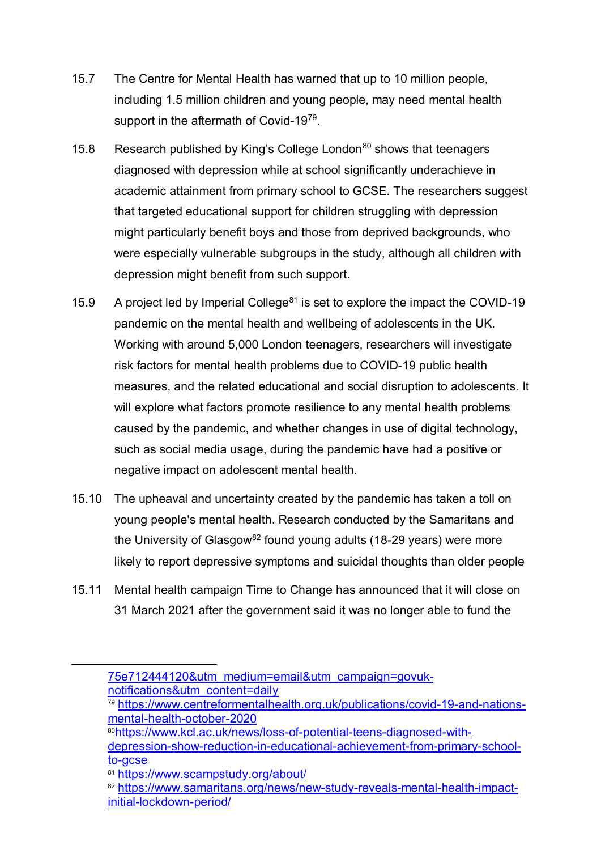- 15.7 The Centre for Mental Health has warned that up to 10 million people, including 1.5 million children and young people, may need mental health support in the aftermath of Covid-19[79.](#page-28-0)
- 15.8 Research published by King's College London<sup>[80](#page-28-1)</sup> shows that teenagers diagnosed with depression while at school significantly underachieve in academic attainment from primary school to GCSE. The researchers suggest that targeted educational support for children struggling with depression might particularly benefit boys and those from deprived backgrounds, who were especially vulnerable subgroups in the study, although all children with depression might benefit from such support.
- 15.9 A project led by Imperial College<sup>[81](#page-28-2)</sup> is set to explore the impact the COVID-19 pandemic on the mental health and wellbeing of adolescents in the UK. Working with around 5,000 London teenagers, researchers will investigate risk factors for mental health problems due to COVID-19 public health measures, and the related educational and social disruption to adolescents. It will explore what factors promote resilience to any mental health problems caused by the pandemic, and whether changes in use of digital technology, such as social media usage, during the pandemic have had a positive or negative impact on adolescent mental health.
- 15.10 The upheaval and uncertainty created by the pandemic has taken a toll on young people's mental health. Research conducted by the Samaritans and the University of Glasgow<sup>[82](#page-28-3)</sup> found young adults (18-29 years) were more likely to report depressive symptoms and suicidal thoughts than older people
- 15.11 Mental health campaign Time to Change has announced that it will close on 31 March 2021 after the government said it was no longer able to fund the

8[0https://www.kcl.ac.uk/news/loss-of-potential-teens-diagnosed-with](https://www.kcl.ac.uk/news/loss-of-potential-teens-diagnosed-with-depression-show-reduction-in-educational-achievement-from-primary-school-to-gcse)[depression-show-reduction-in-educational-achievement-from-primary-school](https://www.kcl.ac.uk/news/loss-of-potential-teens-diagnosed-with-depression-show-reduction-in-educational-achievement-from-primary-school-to-gcse)<u>to-gcse</u><br><sup>81</sup> <https://www.scampstudy.org/about/>

<span id="page-28-1"></span><span id="page-28-0"></span> $\ddot{\phantom{a}}$ 

[<sup>75</sup>e712444120&utm\\_medium=email&utm\\_campaign=govuk](https://www.gov.uk/government/statistics/mental-health-of-children-and-young-people-in-england-2020-follow-up-to-the-2017-survey?utm_source=cf421175-2974-434c-a9d5-75e712444120&utm_medium=email&utm_campaign=govuk-notifications&utm_content=daily)[notifications&utm\\_content=daily](https://www.gov.uk/government/statistics/mental-health-of-children-and-young-people-in-england-2020-follow-up-to-the-2017-survey?utm_source=cf421175-2974-434c-a9d5-75e712444120&utm_medium=email&utm_campaign=govuk-notifications&utm_content=daily)

 $79$  [https://www.centreformentalhealth.org.uk/publications/covid-19-and-nations](https://www.centreformentalhealth.org.uk/publications/covid-19-and-nations-mental-health-october-2020)[mental-health-october-2020](https://www.centreformentalhealth.org.uk/publications/covid-19-and-nations-mental-health-october-2020)

<span id="page-28-3"></span><span id="page-28-2"></span><sup>82</sup> [https://www.samaritans.org/news/new-study-reveals-mental-health-impact](https://www.samaritans.org/news/new-study-reveals-mental-health-impact-initial-lockdown-period/)[initial-lockdown-period/](https://www.samaritans.org/news/new-study-reveals-mental-health-impact-initial-lockdown-period/)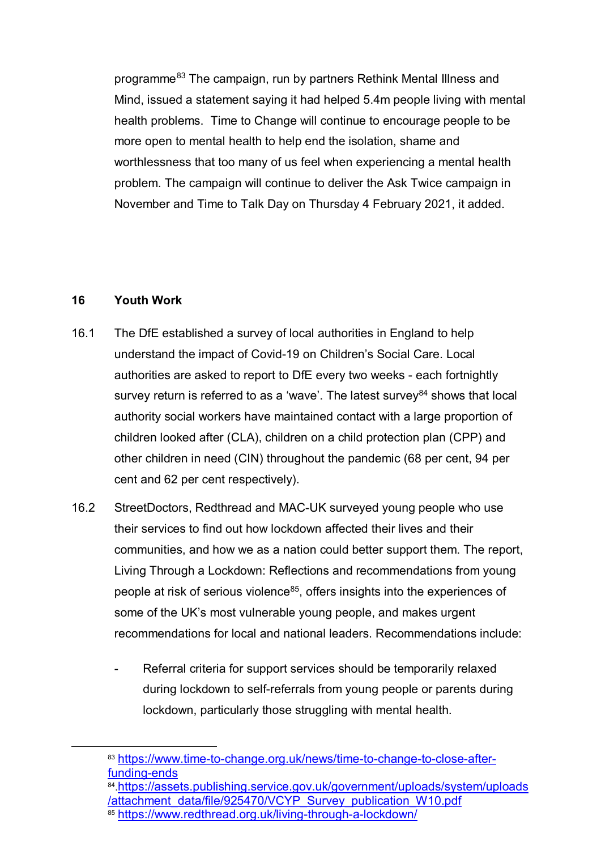programme<sup>[83](#page-29-0)</sup> The campaign, run by partners Rethink Mental Illness and Mind, issued a statement saying it had helped 5.4m people living with mental health problems. Time to Change will continue to encourage people to be more open to mental health to help end the isolation, shame and worthlessness that too many of us feel when experiencing a mental health problem. The campaign will continue to deliver the Ask Twice campaign in November and Time to Talk Day on Thursday 4 February 2021, it added.

#### **16 Youth Work**

- 16.1 The DfE established a survey of local authorities in England to help understand the impact of Covid-19 on Children's Social Care. Local authorities are asked to report to DfE every two weeks - each fortnightly survey return is referred to as a 'wave'. The latest survey $84$  shows that local authority social workers have maintained contact with a large proportion of children looked after (CLA), children on a child protection plan (CPP) and other children in need (CIN) throughout the pandemic (68 per cent, 94 per cent and 62 per cent respectively).
- 16.2 StreetDoctors, Redthread and MAC-UK surveyed young people who use their services to find out how lockdown affected their lives and their communities, and how we as a nation could better support them. The report, Living Through a Lockdown: Reflections and recommendations from young people at risk of serious violence<sup>[85](#page-29-2)</sup>, offers insights into the experiences of some of the UK's most vulnerable young people, and makes urgent recommendations for local and national leaders. Recommendations include:
	- Referral criteria for support services should be temporarily relaxed during lockdown to self-referrals from young people or parents during lockdown, particularly those struggling with mental health.

<span id="page-29-0"></span> <sup>83</sup> [https://www.time-to-change.org.uk/news/time-to-change-to-close-after](https://www.time-to-change.org.uk/news/time-to-change-to-close-after-funding-ends)[funding-ends](https://www.time-to-change.org.uk/news/time-to-change-to-close-after-funding-ends)

<span id="page-29-1"></span><sup>84</sup>[.https://assets.publishing.service.gov.uk/government/uploads/system/uploads](https://assets.publishing.service.gov.uk/government/uploads/system/uploads/attachment_data/file/925470/VCYP_Survey_publication_W10.pdf) [/attachment\\_data/file/925470/VCYP\\_Survey\\_publication\\_W10.pdf](https://assets.publishing.service.gov.uk/government/uploads/system/uploads/attachment_data/file/925470/VCYP_Survey_publication_W10.pdf)

<span id="page-29-2"></span><sup>85</sup> <https://www.redthread.org.uk/living-through-a-lockdown/>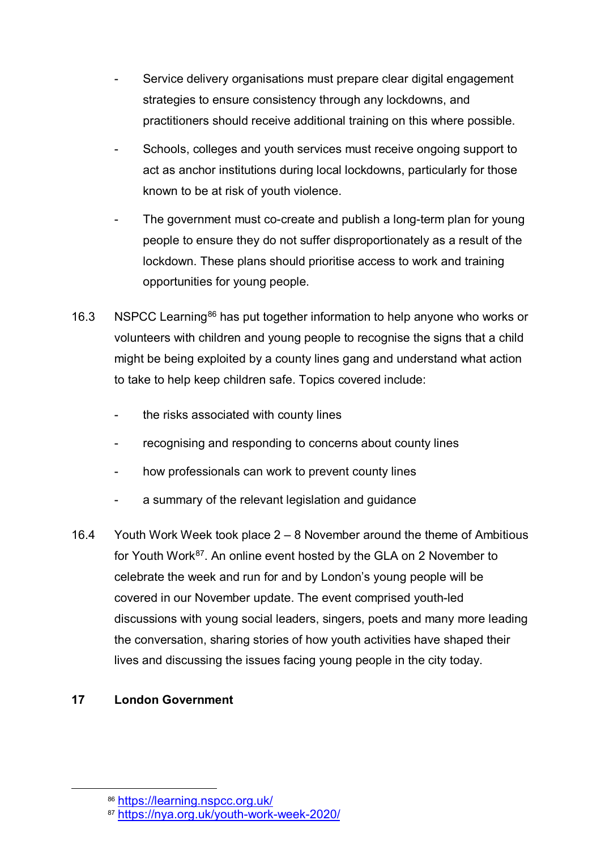- Service delivery organisations must prepare clear digital engagement strategies to ensure consistency through any lockdowns, and practitioners should receive additional training on this where possible.
- Schools, colleges and youth services must receive ongoing support to act as anchor institutions during local lockdowns, particularly for those known to be at risk of youth violence.
- The government must co-create and publish a long-term plan for young people to ensure they do not suffer disproportionately as a result of the lockdown. These plans should prioritise access to work and training opportunities for young people.
- 16.3 NSPCC Learning<sup>[86](#page-30-0)</sup> has put together information to help anyone who works or volunteers with children and young people to recognise the signs that a child might be being exploited by a county lines gang and understand what action to take to help keep children safe. Topics covered include:
	- the risks associated with county lines
	- recognising and responding to concerns about county lines
	- how professionals can work to prevent county lines
	- a summary of the relevant legislation and guidance
- 16.4 Youth Work Week took place 2 8 November around the theme of Ambitious for Youth Work<sup>87</sup>. An online event hosted by the GLA on 2 November to celebrate the week and run for and by London's young people will be covered in our November update. The event comprised youth-led discussions with young social leaders, singers, poets and many more leading the conversation, sharing stories of how youth activities have shaped their lives and discussing the issues facing young people in the city today.

# **17 London Government**

<span id="page-30-0"></span> <sup>86</sup> <https://learning.nspcc.org.uk/>

<span id="page-30-1"></span><sup>87</sup> <https://nya.org.uk/youth-work-week-2020/>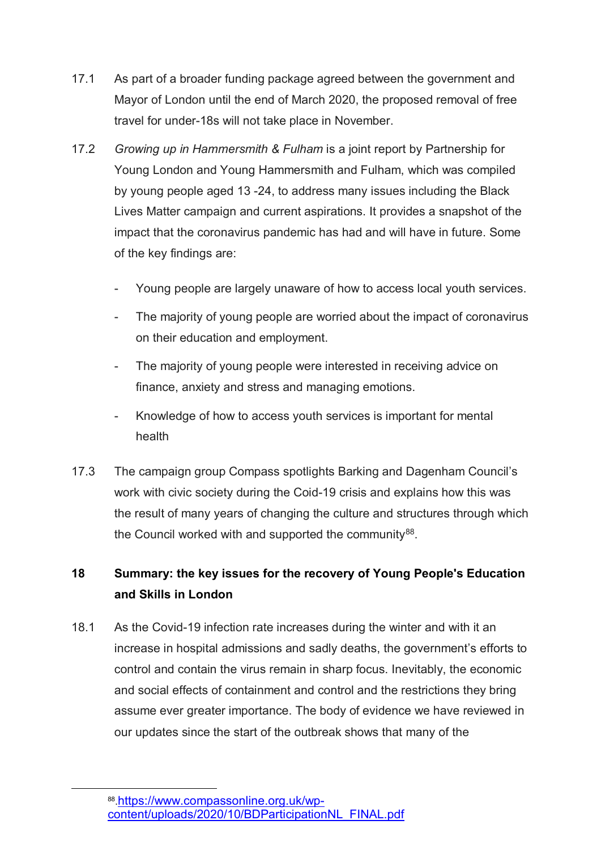- 17.1 As part of a broader funding package agreed between the government and Mayor of London until the end of March 2020, the proposed removal of free travel for under-18s will not take place in November.
- 17.2 *Growing up in Hammersmith & Fulham* is a joint report by Partnership for Young London and Young Hammersmith and Fulham, which was compiled by young people aged 13 -24, to address many issues including the Black Lives Matter campaign and current aspirations. It provides a snapshot of the impact that the coronavirus pandemic has had and will have in future. Some of the key findings are:
	- Young people are largely unaware of how to access local youth services.
	- The majority of young people are worried about the impact of coronavirus on their education and employment.
	- The majority of young people were interested in receiving advice on finance, anxiety and stress and managing emotions.
	- Knowledge of how to access youth services is important for mental health
- 17.3 The campaign group Compass spotlights Barking and Dagenham Council's work with civic society during the Coid-19 crisis and explains how this was the result of many years of changing the culture and structures through which the Council worked with and supported the community $88$ .

# **18 Summary: the key issues for the recovery of Young People's Education and Skills in London**

18.1 As the Covid-19 infection rate increases during the winter and with it an increase in hospital admissions and sadly deaths, the government's efforts to control and contain the virus remain in sharp focus. Inevitably, the economic and social effects of containment and control and the restrictions they bring assume ever greater importance. The body of evidence we have reviewed in our updates since the start of the outbreak shows that many of the

<span id="page-31-0"></span> <sup>88</sup>[.https://www.compassonline.org.uk/wp](https://www.compassonline.org.uk/wp-content/uploads/2020/10/BDParticipationNL_FINAL.pdf)[content/uploads/2020/10/BDParticipationNL\\_FINAL.pdf](https://www.compassonline.org.uk/wp-content/uploads/2020/10/BDParticipationNL_FINAL.pdf)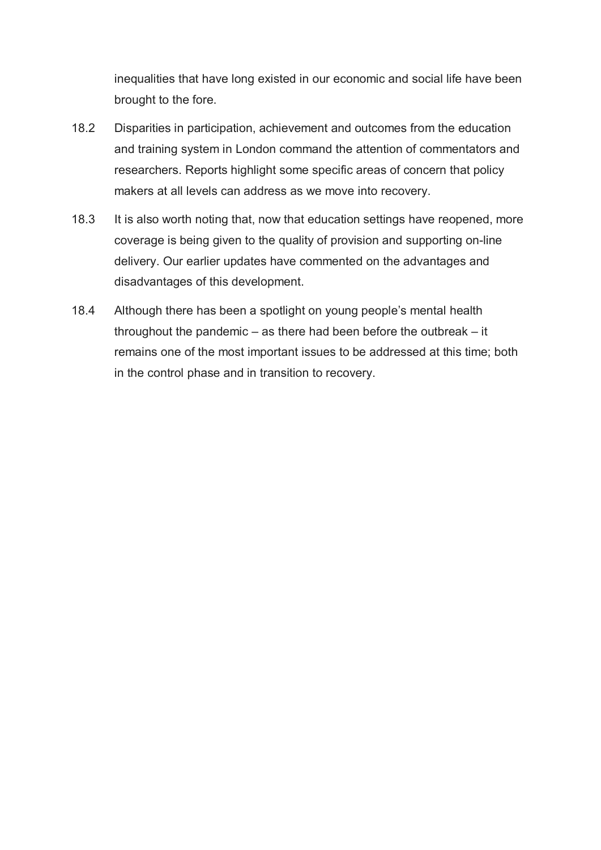inequalities that have long existed in our economic and social life have been brought to the fore.

- 18.2 Disparities in participation, achievement and outcomes from the education and training system in London command the attention of commentators and researchers. Reports highlight some specific areas of concern that policy makers at all levels can address as we move into recovery.
- 18.3 It is also worth noting that, now that education settings have reopened, more coverage is being given to the quality of provision and supporting on-line delivery. Our earlier updates have commented on the advantages and disadvantages of this development.
- 18.4 Although there has been a spotlight on young people's mental health throughout the pandemic – as there had been before the outbreak – it remains one of the most important issues to be addressed at this time; both in the control phase and in transition to recovery.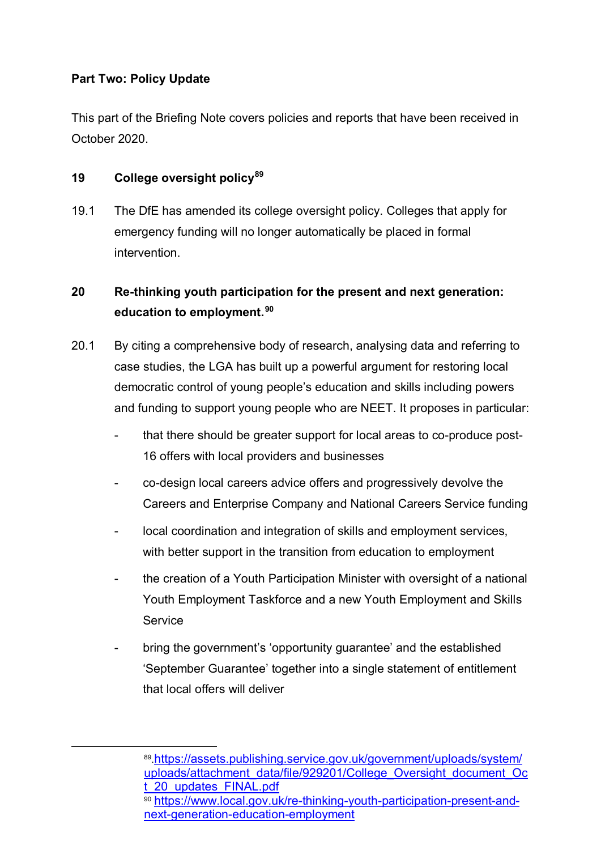### **Part Two: Policy Update**

This part of the Briefing Note covers policies and reports that have been received in October 2020.

#### **19 College oversight policy[89](#page-33-0)**

19.1 The DfE has amended its college oversight policy. Colleges that apply for emergency funding will no longer automatically be placed in formal intervention.

# **20 Re-thinking youth participation for the present and next generation: education to employment.[90](#page-33-1)**

- 20.1 By citing a comprehensive body of research, analysing data and referring to case studies, the LGA has built up a powerful argument for restoring local democratic control of young people's education and skills including powers and funding to support young people who are NEET. It proposes in particular:
	- that there should be greater support for local areas to co-produce post-16 offers with local providers and businesses
	- co-design local careers advice offers and progressively devolve the Careers and Enterprise Company and National Careers Service funding
	- local coordination and integration of skills and employment services, with better support in the transition from education to employment
	- the creation of a Youth Participation Minister with oversight of a national Youth Employment Taskforce and a new Youth Employment and Skills **Service**
	- bring the government's 'opportunity guarantee' and the established 'September Guarantee' together into a single statement of entitlement that local offers will deliver

<span id="page-33-1"></span><span id="page-33-0"></span> <sup>89</sup>[.https://assets.publishing.service.gov.uk/government/uploads/system/](https://assets.publishing.service.gov.uk/government/uploads/system/uploads/attachment_data/file/929201/College_Oversight_document_Oct_20_updates_FINAL.pdf) [uploads/attachment\\_data/file/929201/College\\_Oversight\\_document\\_Oc](https://assets.publishing.service.gov.uk/government/uploads/system/uploads/attachment_data/file/929201/College_Oversight_document_Oct_20_updates_FINAL.pdf) [t\\_20\\_updates\\_FINAL.pdf](https://assets.publishing.service.gov.uk/government/uploads/system/uploads/attachment_data/file/929201/College_Oversight_document_Oct_20_updates_FINAL.pdf) <sup>90</sup> [https://www.local.gov.uk/re-thinking-youth-participation-present-and](https://www.local.gov.uk/re-thinking-youth-participation-present-and-next-generation-education-employment)[next-generation-education-employment](https://www.local.gov.uk/re-thinking-youth-participation-present-and-next-generation-education-employment)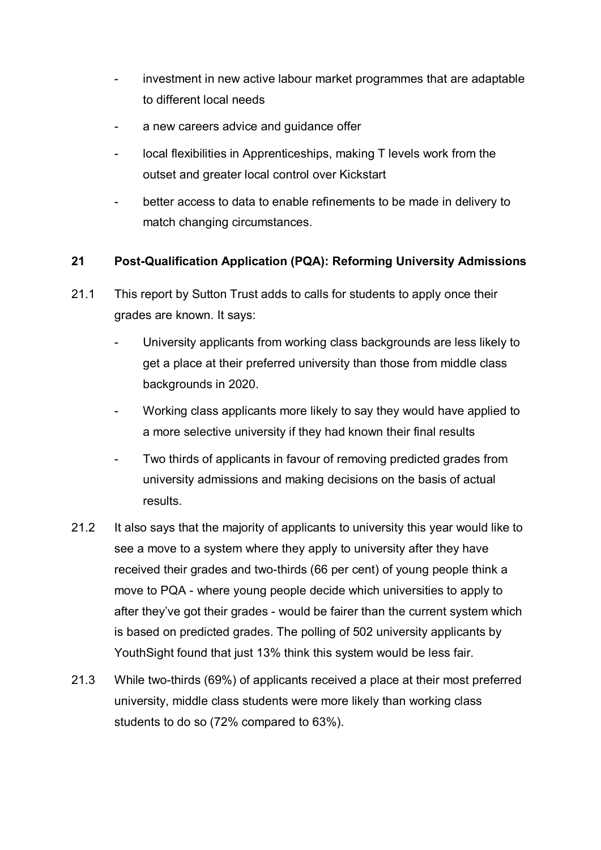- investment in new active labour market programmes that are adaptable to different local needs
- a new careers advice and guidance offer
- local flexibilities in Apprenticeships, making T levels work from the outset and greater local control over Kickstart
- better access to data to enable refinements to be made in delivery to match changing circumstances.

### **21 Post-Qualification Application (PQA): Reforming University Admissions**

- 21.1 This report by Sutton Trust adds to calls for students to apply once their grades are known. It says:
	- University applicants from working class backgrounds are less likely to get a place at their preferred university than those from middle class backgrounds in 2020.
	- Working class applicants more likely to say they would have applied to a more selective university if they had known their final results
	- Two thirds of applicants in favour of removing predicted grades from university admissions and making decisions on the basis of actual results.
- 21.2 It also says that the majority of applicants to university this year would like to see a move to a system where they apply to university after they have received their grades and two-thirds (66 per cent) of young people think a move to PQA - where young people decide which universities to apply to after they've got their grades - would be fairer than the current system which is based on predicted grades. The polling of 502 university applicants by YouthSight found that just 13% think this system would be less fair.
- 21.3 While two-thirds (69%) of applicants received a place at their most preferred university, middle class students were more likely than working class students to do so (72% compared to 63%).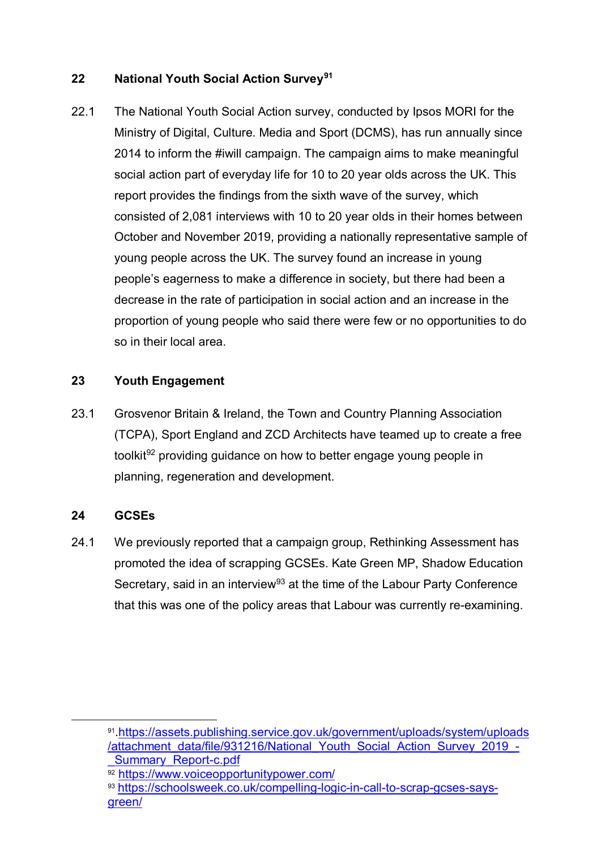## **22 National Youth Social Action Survey[91](#page-35-0)**

22.1 The National Youth Social Action survey, conducted by Ipsos MORI for the Ministry of Digital, Culture. Media and Sport (DCMS), has run annually since 2014 to inform the #iwill campaign. The campaign aims to make meaningful social action part of everyday life for 10 to 20 year olds across the UK. This report provides the findings from the sixth wave of the survey, which consisted of 2,081 interviews with 10 to 20 year olds in their homes between October and November 2019, providing a nationally representative sample of young people across the UK. The survey found an increase in young people's eagerness to make a difference in society, but there had been a decrease in the rate of participation in social action and an increase in the proportion of young people who said there were few or no opportunities to do so in their local area.

# **23 Youth Engagement**

23.1 Grosvenor Britain & Ireland, the Town and Country Planning Association (TCPA), Sport England and ZCD Architects have teamed up to create a free toolkit<sup>[92](#page-35-1)</sup> providing guidance on how to better engage young people in planning, regeneration and development.

### **24 GCSEs**

24.1 We previously reported that a campaign group, Rethinking Assessment has promoted the idea of scrapping GCSEs. Kate Green MP, Shadow Education Secretary, said in an interview<sup>[93](#page-35-2)</sup> at the time of the Labour Party Conference that this was one of the policy areas that Labour was currently re-examining.

<span id="page-35-0"></span> <sup>91</sup>[.https://assets.publishing.service.gov.uk/government/uploads/system/uploads](https://assets.publishing.service.gov.uk/government/uploads/system/uploads/attachment_data/file/931216/National_Youth_Social_Action_Survey_2019_-_Summary_Report-c.pdf) [/attachment\\_data/file/931216/National\\_Youth\\_Social\\_Action\\_Survey\\_2019\\_-](https://assets.publishing.service.gov.uk/government/uploads/system/uploads/attachment_data/file/931216/National_Youth_Social_Action_Survey_2019_-_Summary_Report-c.pdf) [\\_Summary\\_Report-c.pdf](https://assets.publishing.service.gov.uk/government/uploads/system/uploads/attachment_data/file/931216/National_Youth_Social_Action_Survey_2019_-_Summary_Report-c.pdf)

<sup>92</sup> <https://www.voiceopportunitypower.com/>

<span id="page-35-2"></span><span id="page-35-1"></span><sup>93</sup> [https://schoolsweek.co.uk/compelling-logic-in-call-to-scrap-gcses-says](https://schoolsweek.co.uk/compelling-logic-in-call-to-scrap-gcses-says-green/)[green/](https://schoolsweek.co.uk/compelling-logic-in-call-to-scrap-gcses-says-green/)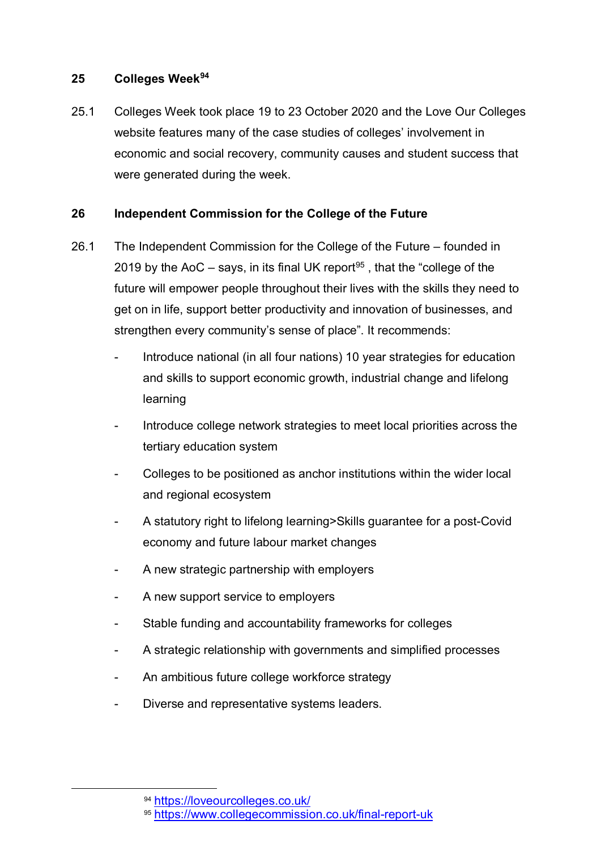#### **25 Colleges Week[94](#page-36-0)**

25.1 Colleges Week took place 19 to 23 October 2020 and the Love Our Colleges website features many of the case studies of colleges' involvement in economic and social recovery, community causes and student success that were generated during the week.

#### **26 Independent Commission for the College of the Future**

- 26.1 The Independent Commission for the College of the Future founded in 2019 by the AoC – says, in its final UK report<sup>[95](#page-36-1)</sup>, that the "college of the future will empower people throughout their lives with the skills they need to get on in life, support better productivity and innovation of businesses, and strengthen every community's sense of place". It recommends:
	- Introduce national (in all four nations) 10 year strategies for education and skills to support economic growth, industrial change and lifelong learning
	- Introduce college network strategies to meet local priorities across the tertiary education system
	- Colleges to be positioned as anchor institutions within the wider local and regional ecosystem
	- A statutory right to lifelong learning>Skills guarantee for a post-Covid economy and future labour market changes
	- A new strategic partnership with employers
	- A new support service to employers
	- Stable funding and accountability frameworks for colleges
	- A strategic relationship with governments and simplified processes
	- An ambitious future college workforce strategy
	- Diverse and representative systems leaders.

<span id="page-36-1"></span><span id="page-36-0"></span> <sup>94</sup> <https://loveourcolleges.co.uk/>

<sup>95</sup> <https://www.collegecommission.co.uk/final-report-uk>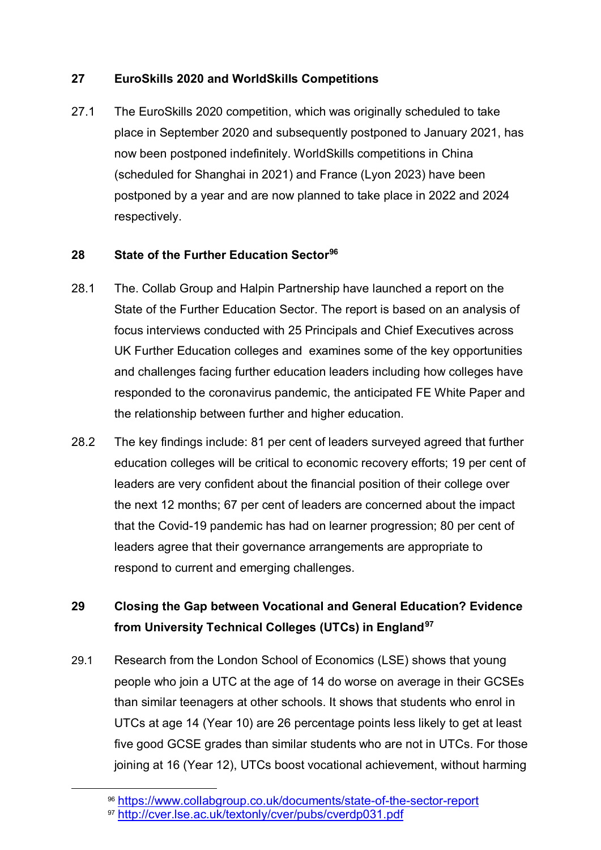## **27 EuroSkills 2020 and WorldSkills Competitions**

27.1 The EuroSkills 2020 competition, which was originally scheduled to take place in September 2020 and subsequently postponed to January 2021, has now been postponed indefinitely. WorldSkills competitions in China (scheduled for Shanghai in 2021) and France (Lyon 2023) have been postponed by a year and are now planned to take place in 2022 and 2024 respectively.

# **28 State of the Further Education Sector[96](#page-37-0)**

- 28.1 The. Collab Group and Halpin Partnership have launched a report on the State of the Further Education Sector. The report is based on an analysis of focus interviews conducted with 25 Principals and Chief Executives across UK Further Education colleges and examines some of the key opportunities and challenges facing further education leaders including how colleges have responded to the coronavirus pandemic, the anticipated FE White Paper and the relationship between further and higher education.
- 28.2 The key findings include: 81 per cent of leaders surveyed agreed that further education colleges will be critical to economic recovery efforts; 19 per cent of leaders are very confident about the financial position of their college over the next 12 months; 67 per cent of leaders are concerned about the impact that the Covid-19 pandemic has had on learner progression; 80 per cent of leaders agree that their governance arrangements are appropriate to respond to current and emerging challenges.

# **29 Closing the Gap between Vocational and General Education? Evidence from University Technical Colleges (UTCs) in England[97](#page-37-1)**

29.1 Research from the London School of Economics (LSE) shows that young people who join a UTC at the age of 14 do worse on average in their GCSEs than similar teenagers at other schools. It shows that students who enrol in UTCs at age 14 (Year 10) are 26 percentage points less likely to get at least five good GCSE grades than similar students who are not in UTCs. For those joining at 16 (Year 12), UTCs boost vocational achievement, without harming

<span id="page-37-0"></span> <sup>96</sup> <https://www.collabgroup.co.uk/documents/state-of-the-sector-report>

<span id="page-37-1"></span><sup>97</sup> <http://cver.lse.ac.uk/textonly/cver/pubs/cverdp031.pdf>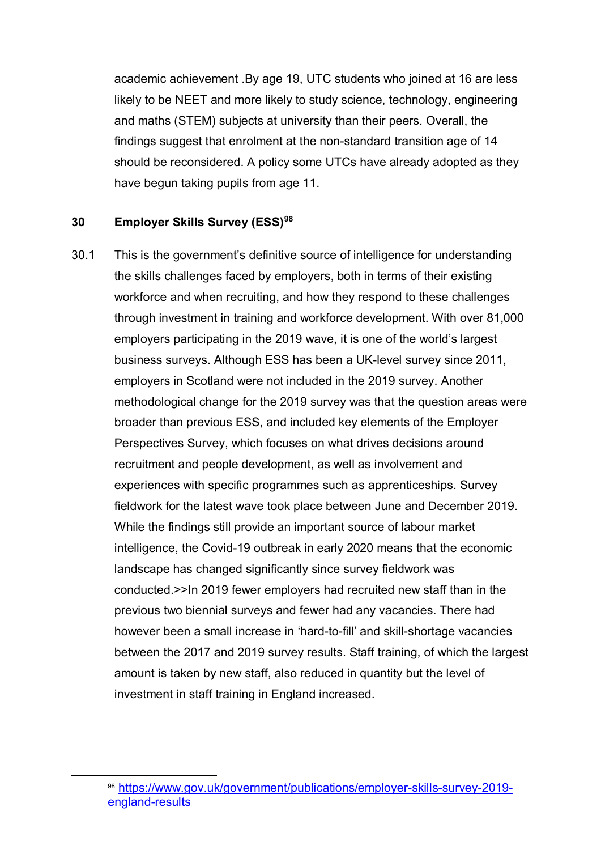academic achievement .By age 19, UTC students who joined at 16 are less likely to be NEET and more likely to study science, technology, engineering and maths (STEM) subjects at university than their peers. Overall, the findings suggest that enrolment at the non-standard transition age of 14 should be reconsidered. A policy some UTCs have already adopted as they have begun taking pupils from age 11.

#### **30 Employer Skills Survey (ESS) [98](#page-38-0)**

30.1 This is the government's definitive source of intelligence for understanding the skills challenges faced by employers, both in terms of their existing workforce and when recruiting, and how they respond to these challenges through investment in training and workforce development. With over 81,000 employers participating in the 2019 wave, it is one of the world's largest business surveys. Although ESS has been a UK-level survey since 2011, employers in Scotland were not included in the 2019 survey. Another methodological change for the 2019 survey was that the question areas were broader than previous ESS, and included key elements of the Employer Perspectives Survey, which focuses on what drives decisions around recruitment and people development, as well as involvement and experiences with specific programmes such as apprenticeships. Survey fieldwork for the latest wave took place between June and December 2019. While the findings still provide an important source of labour market intelligence, the Covid-19 outbreak in early 2020 means that the economic landscape has changed significantly since survey fieldwork was conducted.>>In 2019 fewer employers had recruited new staff than in the previous two biennial surveys and fewer had any vacancies. There had however been a small increase in 'hard-to-fill' and skill-shortage vacancies between the 2017 and 2019 survey results. Staff training, of which the largest amount is taken by new staff, also reduced in quantity but the level of investment in staff training in England increased.

<span id="page-38-0"></span> <sup>98</sup> [https://www.gov.uk/government/publications/employer-skills-survey-2019](https://www.gov.uk/government/publications/employer-skills-survey-2019-england-results) [england-results](https://www.gov.uk/government/publications/employer-skills-survey-2019-england-results)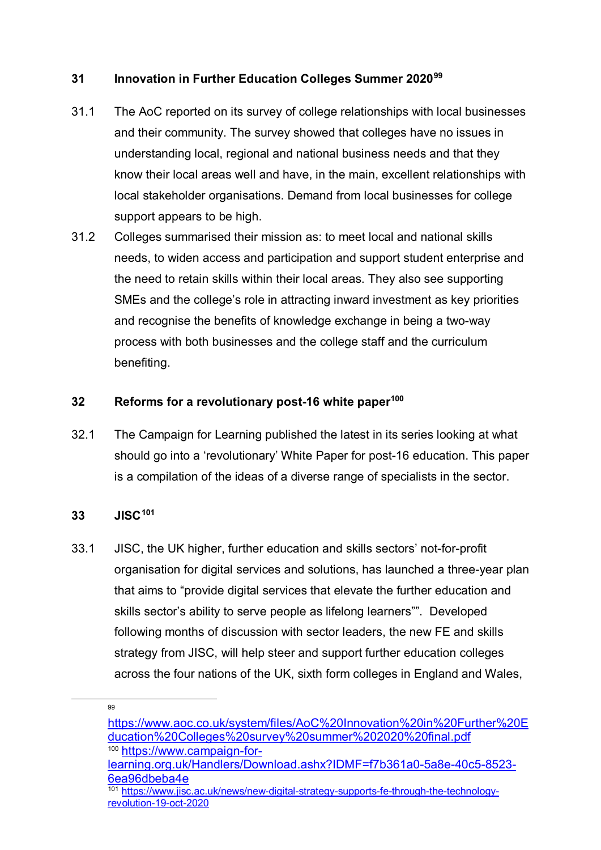### **31 Innovation in Further Education Colleges Summer 2020[99](#page-39-0)**

- 31.1 The AoC reported on its survey of college relationships with local businesses and their community. The survey showed that colleges have no issues in understanding local, regional and national business needs and that they know their local areas well and have, in the main, excellent relationships with local stakeholder organisations. Demand from local businesses for college support appears to be high.
- 31.2 Colleges summarised their mission as: to meet local and national skills needs, to widen access and participation and support student enterprise and the need to retain skills within their local areas. They also see supporting SMEs and the college's role in attracting inward investment as key priorities and recognise the benefits of knowledge exchange in being a two-way process with both businesses and the college staff and the curriculum benefiting.

#### **32 Reforms for a revolutionary post-16 white paper[100](#page-39-1)**

32.1 The Campaign for Learning published the latest in its series looking at what should go into a 'revolutionary' White Paper for post-16 education. This paper is a compilation of the ideas of a diverse range of specialists in the sector.

#### **33 JISC[101](#page-39-2)**

33.1 JISC, the UK higher, further education and skills sectors' not-for-profit organisation for digital services and solutions, has launched a three-year plan that aims to "provide digital services that elevate the further education and skills sector's ability to serve people as lifelong learners"". Developed following months of discussion with sector leaders, the new FE and skills strategy from JISC, will help steer and support further education colleges across the four nations of the UK, sixth form colleges in England and Wales,

<span id="page-39-1"></span><span id="page-39-0"></span><sup>&</sup>lt;u>99</u>

[https://www.aoc.co.uk/system/files/AoC%20Innovation%20in%20Further%20E](https://www.aoc.co.uk/system/files/AoC%20Innovation%20in%20Further%20Education%20Colleges%20survey%20summer%202020%20final.pdf) [ducation%20Colleges%20survey%20summer%202020%20final.pdf](https://www.aoc.co.uk/system/files/AoC%20Innovation%20in%20Further%20Education%20Colleges%20survey%20summer%202020%20final.pdf) <sup>100</sup> [https://www.campaign-for-](https://www.campaign-for-learning.org.uk/Handlers/Download.ashx?IDMF=f7b361a0-5a8e-40c5-8523-6ea96dbeba4e)

[learning.org.uk/Handlers/Download.ashx?IDMF=f7b361a0-5a8e-40c5-8523-](https://www.campaign-for-learning.org.uk/Handlers/Download.ashx?IDMF=f7b361a0-5a8e-40c5-8523-6ea96dbeba4e) [6ea96dbeba4e](https://www.campaign-for-learning.org.uk/Handlers/Download.ashx?IDMF=f7b361a0-5a8e-40c5-8523-6ea96dbeba4e)

<span id="page-39-2"></span>[https://www.jisc.ac.uk/news/new-digital-strategy-supports-fe-through-the-technology](https://www.jisc.ac.uk/news/new-digital-strategy-supports-fe-through-the-technology-revolution-19-oct-2020)[revolution-19-oct-2020](https://www.jisc.ac.uk/news/new-digital-strategy-supports-fe-through-the-technology-revolution-19-oct-2020)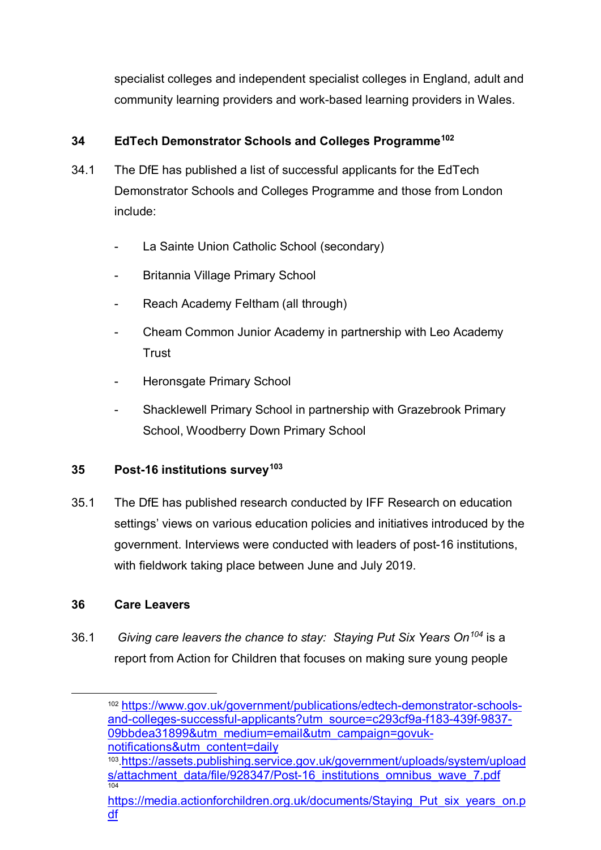specialist colleges and independent specialist colleges in England, adult and community learning providers and work-based learning providers in Wales.

# **34 EdTech Demonstrator Schools and Colleges Programme[102](#page-40-0)**

- 34.1 The DfE has published a list of successful applicants for the EdTech Demonstrator Schools and Colleges Programme and those from London include:
	- La Sainte Union Catholic School (secondary)
	- Britannia Village Primary School
	- Reach Academy Feltham (all through)
	- Cheam Common Junior Academy in partnership with Leo Academy **Trust**
	- Heronsgate Primary School
	- Shacklewell Primary School in partnership with Grazebrook Primary School, Woodberry Down Primary School

### **35 Post-16 institutions survey[103](#page-40-1)**

35.1 The DfE has published research conducted by IFF Research on education settings' views on various education policies and initiatives introduced by the government. Interviews were conducted with leaders of post-16 institutions, with fieldwork taking place between June and July 2019.

### **36 Care Leavers**

<span id="page-40-0"></span>36.1 *Giving care leavers the chance to stay: Staying Put Six Years On[104](#page-40-2)* is a report from Action for Children that focuses on making sure young people

 102 [https://www.gov.uk/government/publications/edtech-demonstrator-schools](https://www.gov.uk/government/publications/edtech-demonstrator-schools-and-colleges-successful-applicants?utm_source=c293cf9a-f183-439f-9837-09bbdea31899&utm_medium=email&utm_campaign=govuk-notifications&utm_content=daily)[and-colleges-successful-applicants?utm\\_source=c293cf9a-f183-439f-9837-](https://www.gov.uk/government/publications/edtech-demonstrator-schools-and-colleges-successful-applicants?utm_source=c293cf9a-f183-439f-9837-09bbdea31899&utm_medium=email&utm_campaign=govuk-notifications&utm_content=daily) [09bbdea31899&utm\\_medium=email&utm\\_campaign=govuk](https://www.gov.uk/government/publications/edtech-demonstrator-schools-and-colleges-successful-applicants?utm_source=c293cf9a-f183-439f-9837-09bbdea31899&utm_medium=email&utm_campaign=govuk-notifications&utm_content=daily)[notifications&utm\\_content=daily](https://www.gov.uk/government/publications/edtech-demonstrator-schools-and-colleges-successful-applicants?utm_source=c293cf9a-f183-439f-9837-09bbdea31899&utm_medium=email&utm_campaign=govuk-notifications&utm_content=daily)

<span id="page-40-1"></span><sup>103</sup>[.https://assets.publishing.service.gov.uk/government/uploads/system/upload](https://assets.publishing.service.gov.uk/government/uploads/system/uploads/attachment_data/file/928347/Post-16_institutions_omnibus_wave_7.pdf) [s/attachment\\_data/file/928347/Post-16\\_institutions\\_omnibus\\_wave\\_7.pdf](https://assets.publishing.service.gov.uk/government/uploads/system/uploads/attachment_data/file/928347/Post-16_institutions_omnibus_wave_7.pdf) 104

<span id="page-40-2"></span>[https://media.actionforchildren.org.uk/documents/Staying\\_Put\\_six\\_years\\_on.p](https://media.actionforchildren.org.uk/documents/Staying_Put_six_years_on.pdf) [df](https://media.actionforchildren.org.uk/documents/Staying_Put_six_years_on.pdf)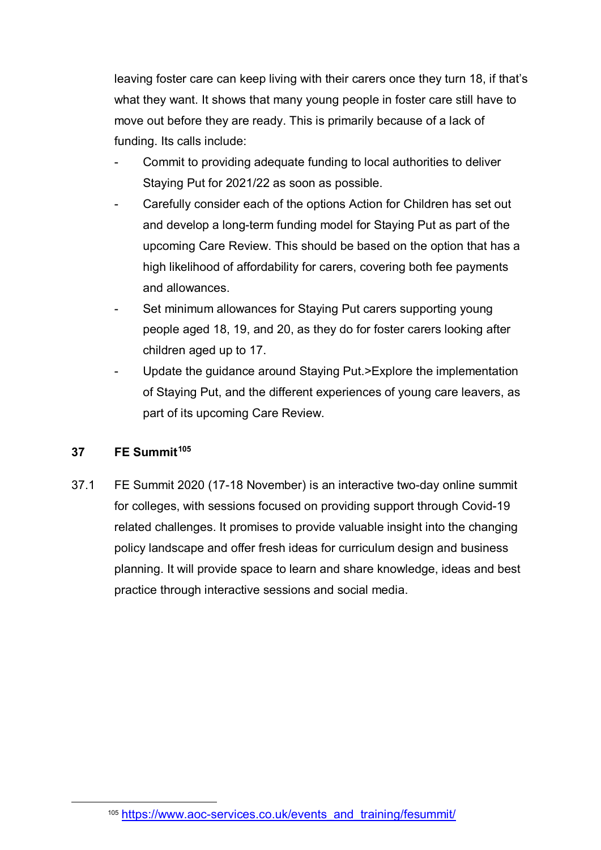leaving foster care can keep living with their carers once they turn 18, if that's what they want. It shows that many young people in foster care still have to move out before they are ready. This is primarily because of a lack of funding. Its calls include:

- Commit to providing adequate funding to local authorities to deliver Staying Put for 2021/22 as soon as possible.
- Carefully consider each of the options Action for Children has set out and develop a long-term funding model for Staying Put as part of the upcoming Care Review. This should be based on the option that has a high likelihood of affordability for carers, covering both fee payments and allowances.
- Set minimum allowances for Staying Put carers supporting young people aged 18, 19, and 20, as they do for foster carers looking after children aged up to 17.
- Update the guidance around Staying Put.>Explore the implementation of Staying Put, and the different experiences of young care leavers, as part of its upcoming Care Review.

#### **37 FE Summit[105](#page-41-0)**

37.1 FE Summit 2020 (17-18 November) is an interactive two-day online summit for colleges, with sessions focused on providing support through Covid-19 related challenges. It promises to provide valuable insight into the changing policy landscape and offer fresh ideas for curriculum design and business planning. It will provide space to learn and share knowledge, ideas and best practice through interactive sessions and social media.

<span id="page-41-0"></span> <sup>105</sup> [https://www.aoc-services.co.uk/events\\_and\\_training/fesummit/](https://www.aoc-services.co.uk/events_and_training/fesummit/)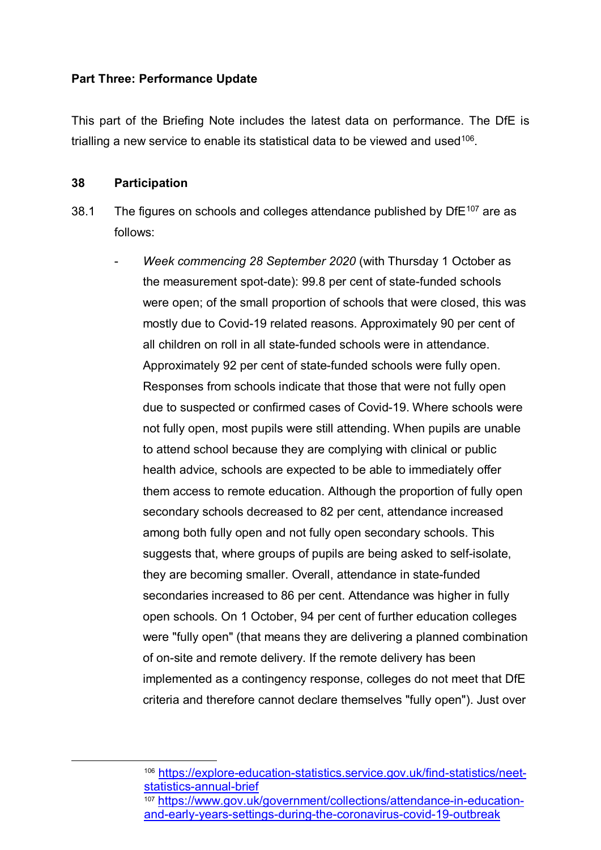#### **Part Three: Performance Update**

This part of the Briefing Note includes the latest data on performance. The DfE is trialling a new service to enable its statistical data to be viewed and used<sup>106</sup>.

#### **38 Participation**

- 38.1 The figures on schools and colleges attendance published by  $DFE^{107}$  $DFE^{107}$  $DFE^{107}$  are as follows:
	- *Week commencing 28 September 2020* (with Thursday 1 October as the measurement spot-date): 99.8 per cent of state-funded schools were open; of the small proportion of schools that were closed, this was mostly due to Covid-19 related reasons. Approximately 90 per cent of all children on roll in all state-funded schools were in attendance. Approximately 92 per cent of state-funded schools were fully open. Responses from schools indicate that those that were not fully open due to suspected or confirmed cases of Covid-19. Where schools were not fully open, most pupils were still attending. When pupils are unable to attend school because they are complying with clinical or public health advice, schools are expected to be able to immediately offer them access to remote education. Although the proportion of fully open secondary schools decreased to 82 per cent, attendance increased among both fully open and not fully open secondary schools. This suggests that, where groups of pupils are being asked to self-isolate, they are becoming smaller. Overall, attendance in state-funded secondaries increased to 86 per cent. Attendance was higher in fully open schools. On 1 October, 94 per cent of further education colleges were "fully open" (that means they are delivering a planned combination of on-site and remote delivery. If the remote delivery has been implemented as a contingency response, colleges do not meet that DfE criteria and therefore cannot declare themselves "fully open"). Just over

 <sup>106</sup> [https://explore-education-statistics.service.gov.uk/find-statistics/neet](https://explore-education-statistics.service.gov.uk/find-statistics/neet-statistics-annual-brief)[statistics-annual-brief](https://explore-education-statistics.service.gov.uk/find-statistics/neet-statistics-annual-brief)

<span id="page-42-1"></span><span id="page-42-0"></span><sup>107</sup> [https://www.gov.uk/government/collections/attendance-in-education](https://www.gov.uk/government/collections/attendance-in-education-and-early-years-settings-during-the-coronavirus-covid-19-outbreak)[and-early-years-settings-during-the-coronavirus-covid-19-outbreak](https://www.gov.uk/government/collections/attendance-in-education-and-early-years-settings-during-the-coronavirus-covid-19-outbreak)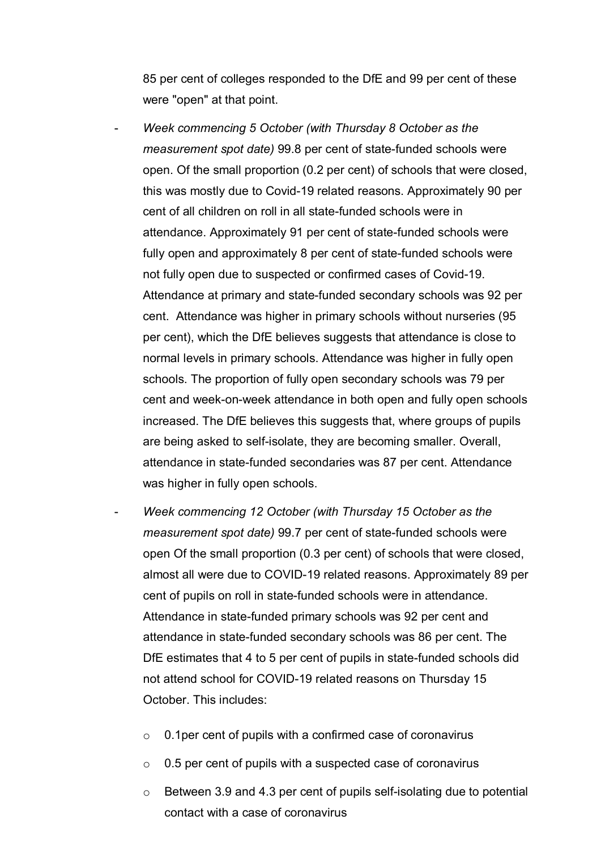85 per cent of colleges responded to the DfE and 99 per cent of these were "open" at that point.

- *Week commencing 5 October (with Thursday 8 October as the measurement spot date)* 99.8 per cent of state-funded schools were open. Of the small proportion (0.2 per cent) of schools that were closed, this was mostly due to Covid-19 related reasons. Approximately 90 per cent of all children on roll in all state-funded schools were in attendance. Approximately 91 per cent of state-funded schools were fully open and approximately 8 per cent of state-funded schools were not fully open due to suspected or confirmed cases of Covid-19. Attendance at primary and state-funded secondary schools was 92 per cent. Attendance was higher in primary schools without nurseries (95 per cent), which the DfE believes suggests that attendance is close to normal levels in primary schools. Attendance was higher in fully open schools. The proportion of fully open secondary schools was 79 per cent and week-on-week attendance in both open and fully open schools increased. The DfE believes this suggests that, where groups of pupils are being asked to self-isolate, they are becoming smaller. Overall, attendance in state-funded secondaries was 87 per cent. Attendance was higher in fully open schools.
- *Week commencing 12 October (with Thursday 15 October as the measurement spot date)* 99.7 per cent of state-funded schools were open Of the small proportion (0.3 per cent) of schools that were closed, almost all were due to COVID-19 related reasons. Approximately 89 per cent of pupils on roll in state-funded schools were in attendance. Attendance in state-funded primary schools was 92 per cent and attendance in state-funded secondary schools was 86 per cent. The DfE estimates that 4 to 5 per cent of pupils in state-funded schools did not attend school for COVID-19 related reasons on Thursday 15 October. This includes:
	- o 0.1per cent of pupils with a confirmed case of coronavirus
	- $\circ$  0.5 per cent of pupils with a suspected case of coronavirus
	- o Between 3.9 and 4.3 per cent of pupils self-isolating due to potential contact with a case of coronavirus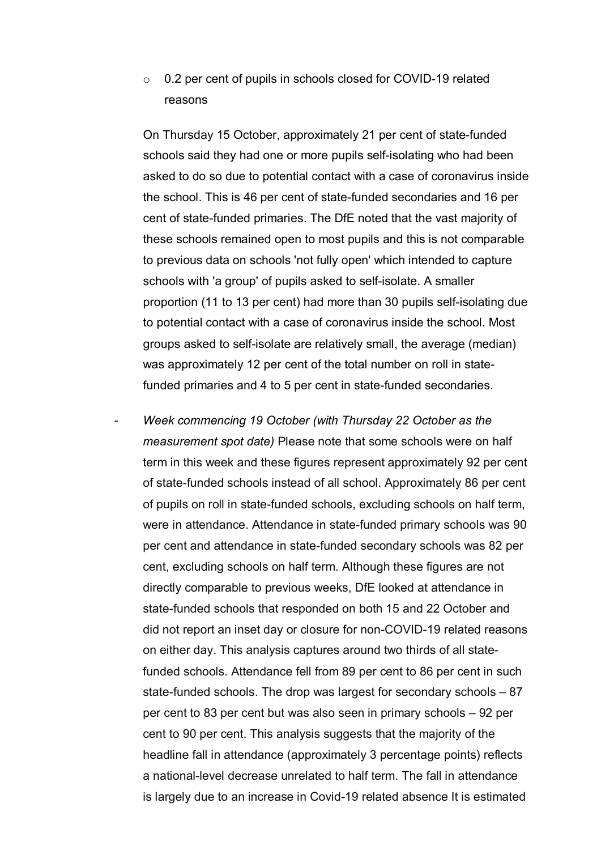o 0.2 per cent of pupils in schools closed for COVID-19 related reasons

On Thursday 15 October, approximately 21 per cent of state-funded schools said they had one or more pupils self-isolating who had been asked to do so due to potential contact with a case of coronavirus inside the school. This is 46 per cent of state-funded secondaries and 16 per cent of state-funded primaries. The DfE noted that the vast majority of these schools remained open to most pupils and this is not comparable to previous data on schools 'not fully open' which intended to capture schools with 'a group' of pupils asked to self-isolate. A smaller proportion (11 to 13 per cent) had more than 30 pupils self-isolating due to potential contact with a case of coronavirus inside the school. Most groups asked to self-isolate are relatively small, the average (median) was approximately 12 per cent of the total number on roll in statefunded primaries and 4 to 5 per cent in state-funded secondaries.

- *Week commencing 19 October (with Thursday 22 October as the measurement spot date)* Please note that some schools were on half term in this week and these figures represent approximately 92 per cent of state-funded schools instead of all school. Approximately 86 per cent of pupils on roll in state-funded schools, excluding schools on half term, were in attendance. Attendance in state-funded primary schools was 90 per cent and attendance in state-funded secondary schools was 82 per cent, excluding schools on half term. Although these figures are not directly comparable to previous weeks, DfE looked at attendance in state-funded schools that responded on both 15 and 22 October and did not report an inset day or closure for non-COVID-19 related reasons on either day. This analysis captures around two thirds of all statefunded schools. Attendance fell from 89 per cent to 86 per cent in such state-funded schools. The drop was largest for secondary schools – 87 per cent to 83 per cent but was also seen in primary schools – 92 per cent to 90 per cent. This analysis suggests that the majority of the headline fall in attendance (approximately 3 percentage points) reflects a national-level decrease unrelated to half term. The fall in attendance is largely due to an increase in Covid-19 related absence It is estimated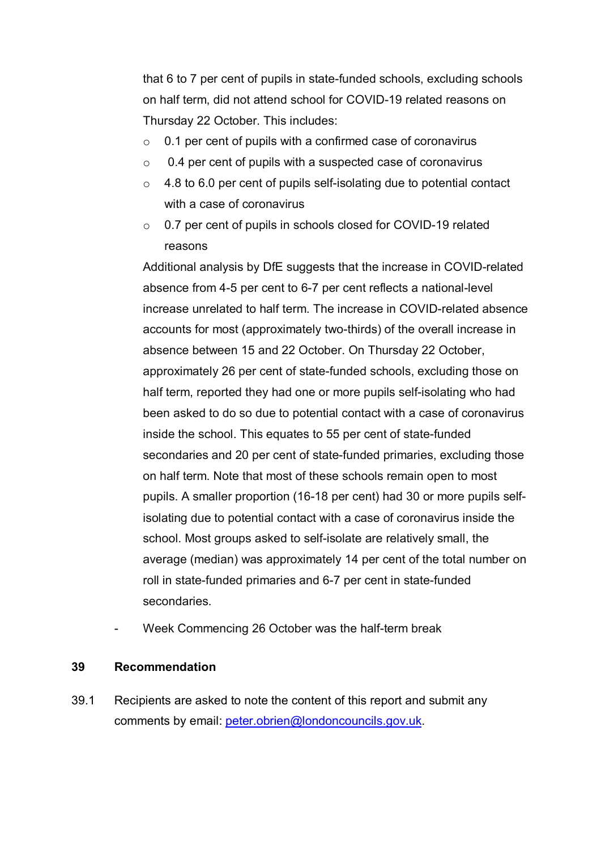that 6 to 7 per cent of pupils in state-funded schools, excluding schools on half term, did not attend school for COVID-19 related reasons on Thursday 22 October. This includes:

- $\circ$  0.1 per cent of pupils with a confirmed case of coronavirus
- o 0.4 per cent of pupils with a suspected case of coronavirus
- $\circ$  4.8 to 6.0 per cent of pupils self-isolating due to potential contact with a case of coronavirus
- o 0.7 per cent of pupils in schools closed for COVID-19 related reasons

Additional analysis by DfE suggests that the increase in COVID-related absence from 4-5 per cent to 6-7 per cent reflects a national-level increase unrelated to half term. The increase in COVID-related absence accounts for most (approximately two-thirds) of the overall increase in absence between 15 and 22 October. On Thursday 22 October, approximately 26 per cent of state-funded schools, excluding those on half term, reported they had one or more pupils self-isolating who had been asked to do so due to potential contact with a case of coronavirus inside the school. This equates to 55 per cent of state-funded secondaries and 20 per cent of state-funded primaries, excluding those on half term. Note that most of these schools remain open to most pupils. A smaller proportion (16-18 per cent) had 30 or more pupils selfisolating due to potential contact with a case of coronavirus inside the school. Most groups asked to self-isolate are relatively small, the average (median) was approximately 14 per cent of the total number on roll in state-funded primaries and 6-7 per cent in state-funded secondaries.

Week Commencing 26 October was the half-term break

#### **39 Recommendation**

39.1 Recipients are asked to note the content of this report and submit any comments by email: [peter.obrien@londoncouncils.gov.uk.](mailto:peter.obrien@londoncouncils.gov.uk)